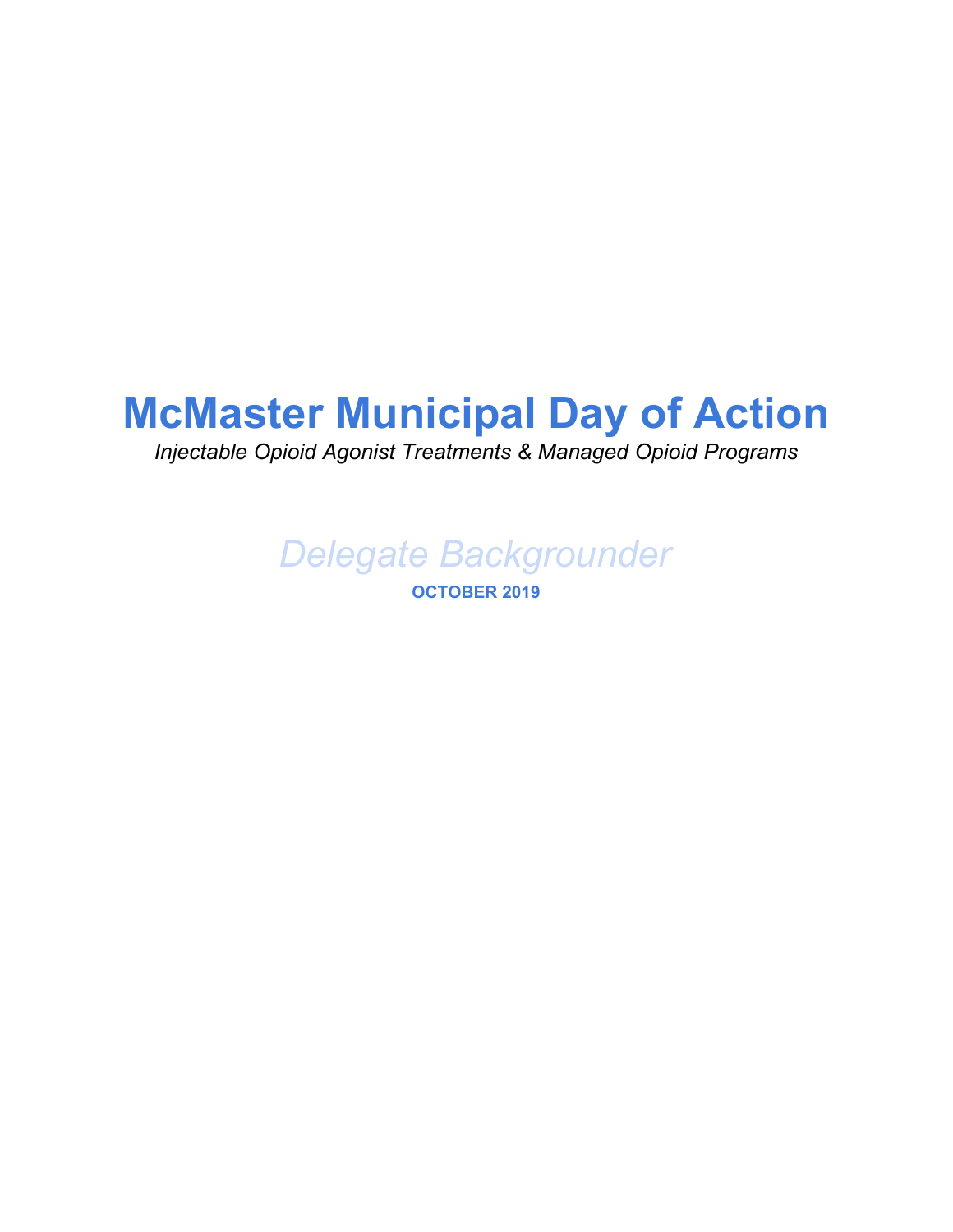## **McMaster Municipal Day of Action**

*Injectable Opioid Agonist Treatments & Managed Opioid Programs*

*Delegate Backgrounder*

**OCTOBER 2019**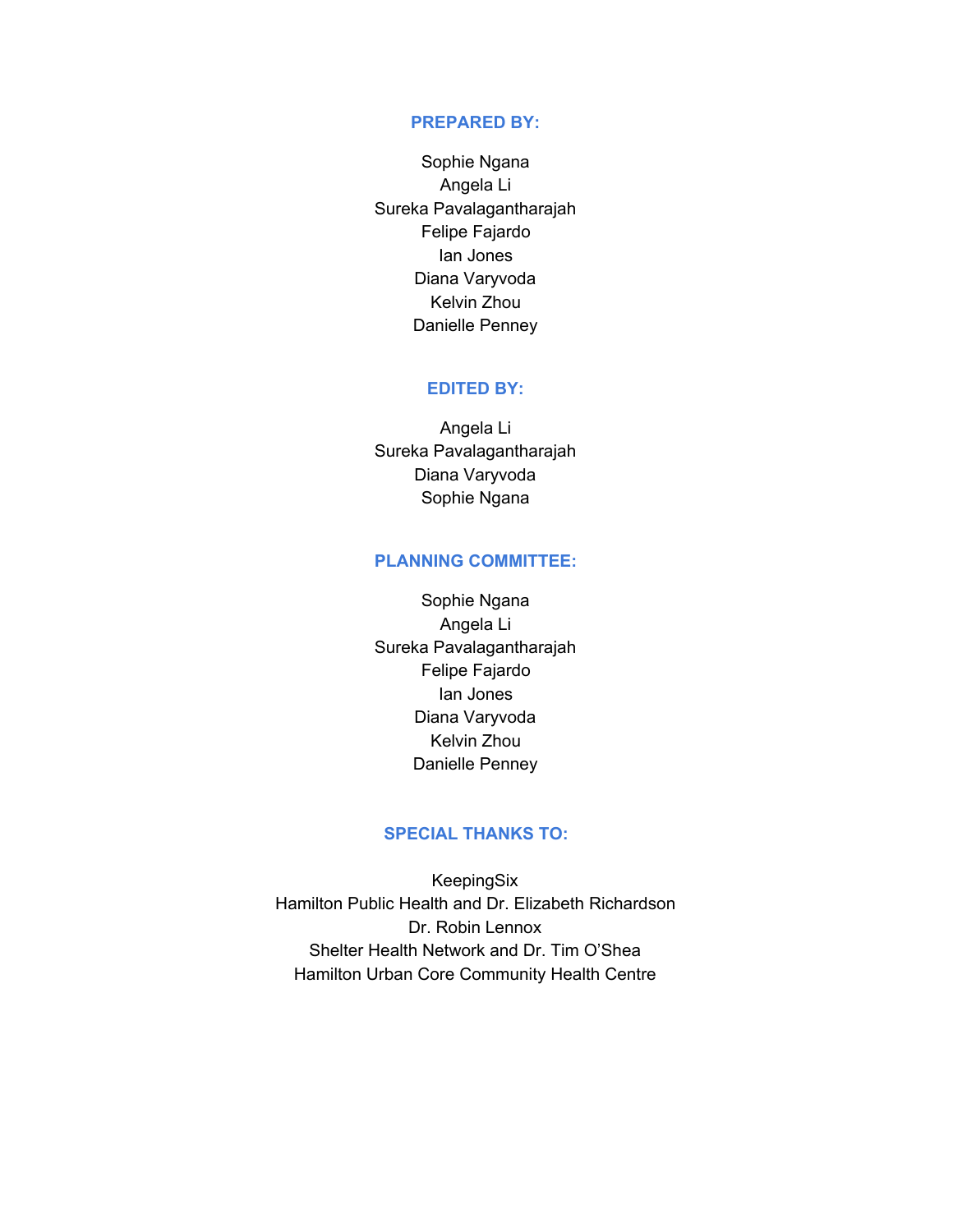#### **PREPARED BY:**

Sophie Ngana Angela Li Sureka Pavalagantharajah Felipe Fajardo Ian Jones Diana Varyvoda Kelvin Zhou Danielle Penney

#### **EDITED BY:**

Angela Li Sureka Pavalagantharajah Diana Varyvoda Sophie Ngana

#### **PLANNING COMMITTEE:**

Sophie Ngana Angela Li Sureka Pavalagantharajah Felipe Fajardo Ian Jones Diana Varyvoda Kelvin Zhou Danielle Penney

#### **SPECIAL THANKS TO:**

KeepingSix Hamilton Public Health and Dr. Elizabeth Richardson Dr. Robin Lennox Shelter Health Network and Dr. Tim O'Shea Hamilton Urban Core Community Health Centre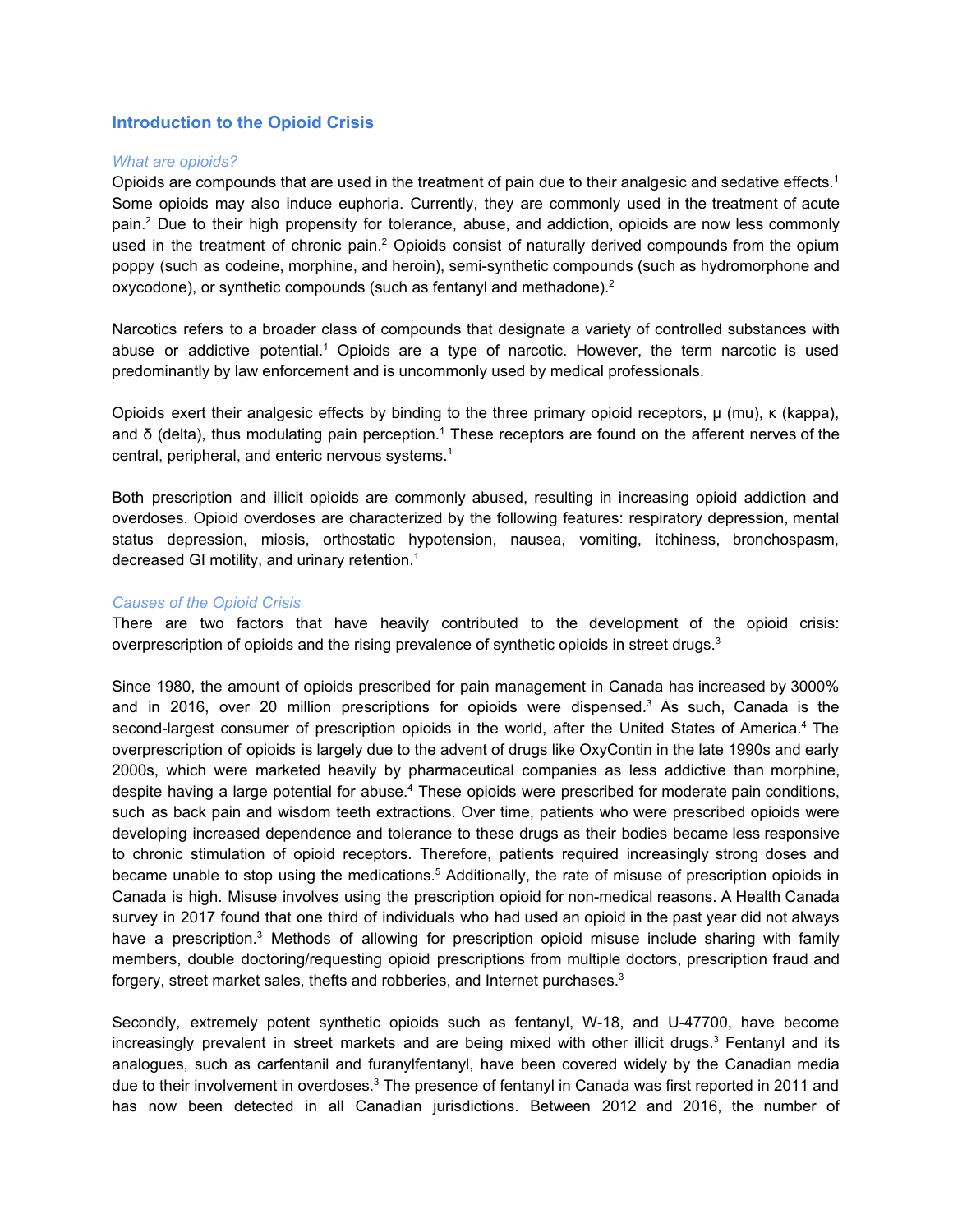#### **Introduction to the Opioid Crisis**

#### *What are opioids?*

Opioids are compounds that are used in the treatment of pain due to their analgesic and sedative effects.<sup>1</sup> Some opioids may also induce euphoria. Currently, they are commonly used in the treatment of acute pain. <sup>2</sup> Due to their high propensity for tolerance, abuse, and addiction, opioids are now less commonly used in the treatment of chronic pain.<sup>2</sup> Opioids consist of naturally derived compounds from the opium poppy (such as codeine, morphine, and heroin), semi-synthetic compounds (such as hydromorphone and oxycodone), or synthetic compounds (such as fentanyl and methadone).<sup>2</sup>

Narcotics refers to a broader class of compounds that designate a variety of controlled substances with abuse or addictive potential.<sup>1</sup> Opioids are a type of narcotic. However, the term narcotic is used predominantly by law enforcement and is uncommonly used by medical professionals.

Opioids exert their analgesic effects by binding to the three primary opioid receptors, μ (mu), κ (kappa), and δ (delta), thus modulating pain perception. <sup>1</sup> These receptors are found on the afferent nerves of the central, peripheral, and enteric nervous systems. 1

Both prescription and illicit opioids are commonly abused, resulting in increasing opioid addiction and overdoses. Opioid overdoses are characterized by the following features: respiratory depression, mental status depression, miosis, orthostatic hypotension, nausea, vomiting, itchiness, bronchospasm, decreased GI motility, and urinary retention. 1

#### *Causes of the Opioid Crisis*

There are two factors that have heavily contributed to the development of the opioid crisis: overprescription of opioids and the rising prevalence of synthetic opioids in street drugs. $^3$ 

Since 1980, the amount of opioids prescribed for pain management in Canada has increased by 3000% and in 2016, over 20 million prescriptions for opioids were dispensed.<sup>3</sup> As such, Canada is the second-largest consumer of prescription opioids in the world, after the United States of America.<sup>4</sup> The overprescription of opioids is largely due to the advent of drugs like OxyContin in the late 1990s and early 2000s, which were marketed heavily by pharmaceutical companies as less addictive than morphine, despite having a large potential for abuse.<sup>4</sup> These opioids were prescribed for moderate pain conditions, such as back pain and wisdom teeth extractions. Over time, patients who were prescribed opioids were developing increased dependence and tolerance to these drugs as their bodies became less responsive to chronic stimulation of opioid receptors. Therefore, patients required increasingly strong doses and became unable to stop using the medications.<sup>5</sup> Additionally, the rate of misuse of prescription opioids in Canada is high. Misuse involves using the prescription opioid for non-medical reasons. A Health Canada survey in 2017 found that one third of individuals who had used an opioid in the past year did not always have a prescription.<sup>3</sup> Methods of allowing for prescription opioid misuse include sharing with family members, double doctoring/requesting opioid prescriptions from multiple doctors, prescription fraud and forgery, street market sales, thefts and robberies, and Internet purchases.<sup>3</sup>

Secondly, extremely potent synthetic opioids such as fentanyl, W-18, and U-47700, have become increasingly prevalent in street markets and are being mixed with other illicit drugs. <sup>3</sup> Fentanyl and its analogues, such as carfentanil and furanylfentanyl, have been covered widely by the Canadian media due to their involvement in overdoses.<sup>3</sup> The presence of fentanyl in Canada was first reported in 2011 and has now been detected in all Canadian jurisdictions. Between 2012 and 2016, the number of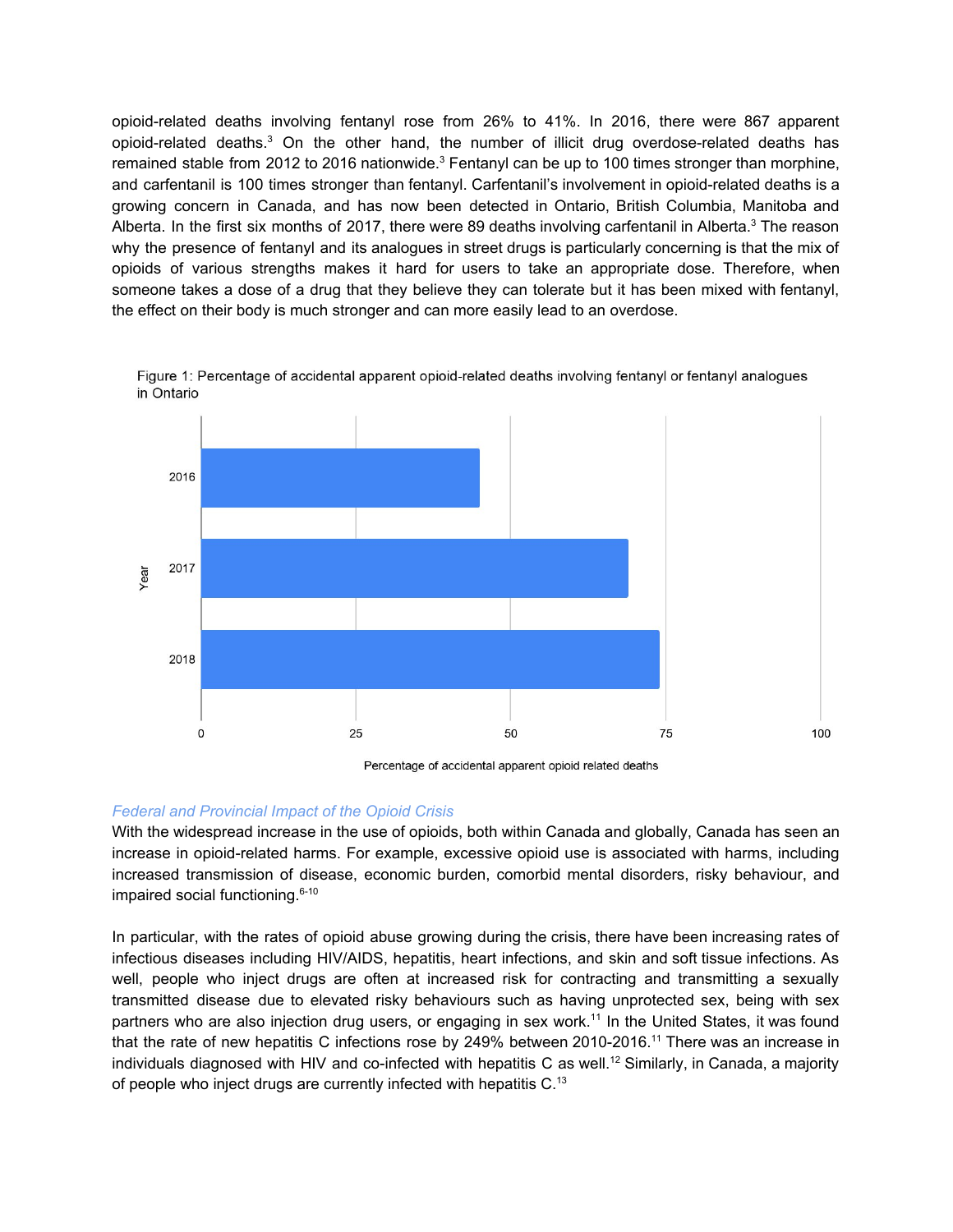opioid-related deaths involving fentanyl rose from 26% to 41%. In 2016, there were 867 apparent opioid-related deaths.<sup>3</sup> On the other hand, the number of illicit drug overdose-related deaths has remained stable from 2012 to 2016 nationwide.<sup>3</sup> Fentanyl can be up to 100 times stronger than morphine, and carfentanil is 100 times stronger than fentanyl. Carfentanil's involvement in opioid-related deaths is a growing concern in Canada, and has now been detected in Ontario, British Columbia, Manitoba and Alberta. In the first six months of 2017, there were 89 deaths involving carfentanil in Alberta.<sup>3</sup> The reason why the presence of fentanyl and its analogues in street drugs is particularly concerning is that the mix of opioids of various strengths makes it hard for users to take an appropriate dose. Therefore, when someone takes a dose of a drug that they believe they can tolerate but it has been mixed with fentanyl, the effect on their body is much stronger and can more easily lead to an overdose.



Figure 1: Percentage of accidental apparent opioid-related deaths involving fentanyl or fentanyl analogues in Ontario

Percentage of accidental apparent opioid related deaths

#### *Federal and Provincial Impact of the Opioid Crisis*

With the widespread increase in the use of opioids, both within Canada and globally, Canada has seen an increase in opioid-related harms. For example, excessive opioid use is associated with harms, including increased transmission of disease, economic burden, comorbid mental disorders, risky behaviour, and impaired social functioning. 6-10

In particular, with the rates of opioid abuse growing during the crisis, there have been increasing rates of infectious diseases including HIV/AIDS, hepatitis, heart infections, and skin and soft tissue infections. As well, people who inject drugs are often at increased risk for contracting and transmitting a sexually transmitted disease due to elevated risky behaviours such as having unprotected sex, being with sex partners who are also injection drug users, or engaging in sex work.<sup>11</sup> In the United States, it was found that the rate of new hepatitis C infections rose by 249% between 2010-2016.<sup>11</sup> There was an increase in individuals diagnosed with HIV and co-infected with hepatitis C as well. <sup>12</sup> Similarly, in Canada, a majority of people who inject drugs are currently infected with hepatitis C.<sup>13</sup>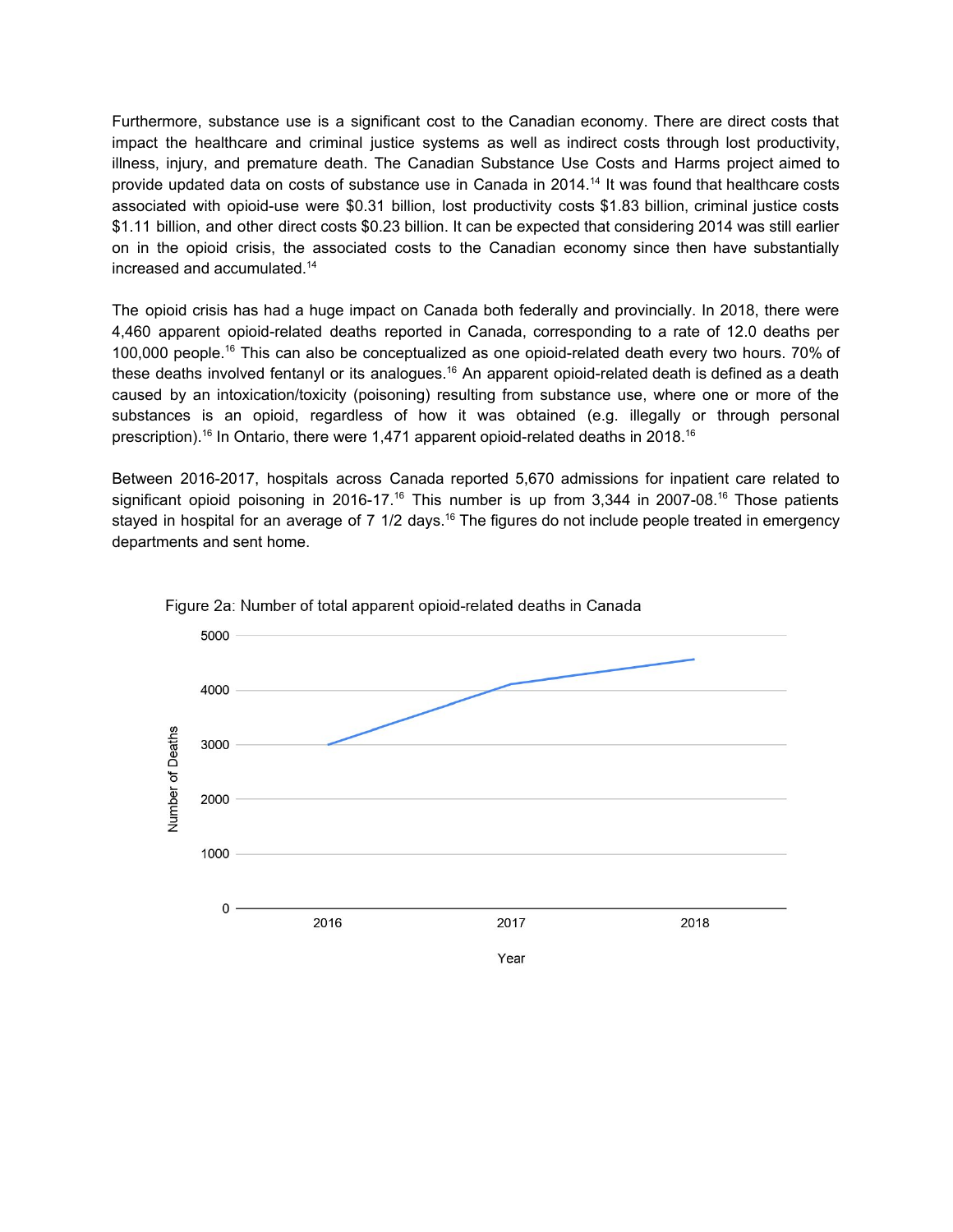Furthermore, substance use is a significant cost to the Canadian economy. There are direct costs that impact the healthcare and criminal justice systems as well as indirect costs through lost productivity, illness, injury, and premature death. The Canadian Substance Use Costs and Harms project aimed to provide updated data on costs of substance use in Canada in 2014. <sup>14</sup> It was found that healthcare costs associated with opioid-use were \$0.31 billion, lost productivity costs \$1.83 billion, criminal justice costs \$1.11 billion, and other direct costs \$0.23 billion. It can be expected that considering 2014 was still earlier on in the opioid crisis, the associated costs to the Canadian economy since then have substantially increased and accumulated. 14

The opioid crisis has had a huge impact on Canada both federally and provincially. In 2018, there were 4,460 apparent opioid-related deaths reported in Canada, corresponding to a rate of 12.0 deaths per 100,000 people.<sup>16</sup> This can also be conceptualized as one opioid-related death every two hours. 70% of these deaths involved fentanyl or its analogues.<sup>16</sup> An apparent opioid-related death is defined as a death caused by an intoxication/toxicity (poisoning) resulting from substance use, where one or more of the substances is an opioid, regardless of how it was obtained (e.g. illegally or through personal prescription).<sup>16</sup> In Ontario, there were 1,471 apparent opioid-related deaths in 2018.<sup>16</sup>

Between 2016-2017, hospitals across Canada reported 5,670 admissions for inpatient care related to significant opioid poisoning in 2016-17.<sup>16</sup> This number is up from 3,344 in 2007-08.<sup>16</sup> Those patients stayed in hospital for an average of 7 1/2 days.<sup>16</sup> The figures do not include people treated in emergency departments and sent home.



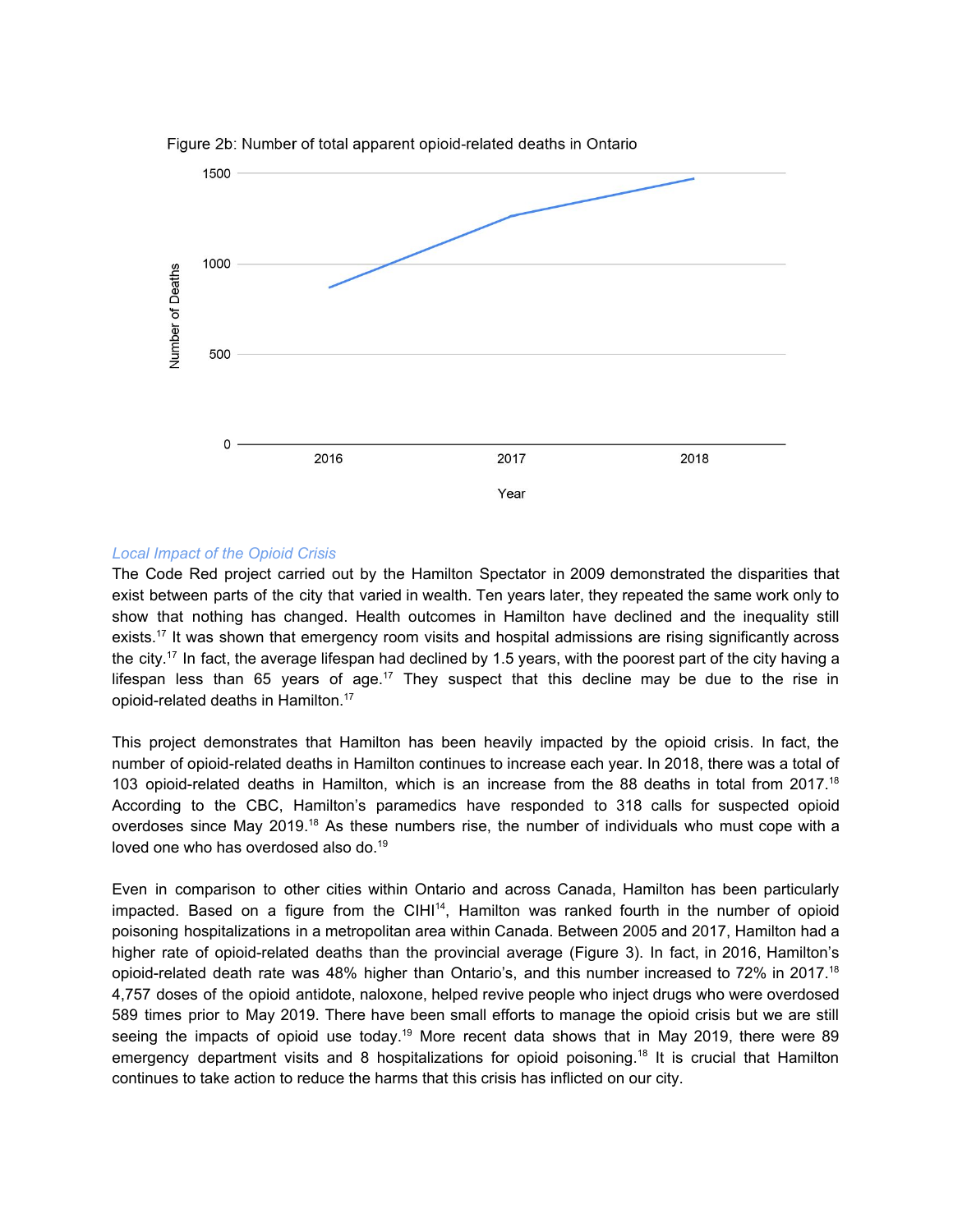

Figure 2b: Number of total apparent opioid-related deaths in Ontario

#### *Local Impact of the Opioid Crisis*

The Code Red project carried out by the Hamilton Spectator in 2009 demonstrated the disparities that exist between parts of the city that varied in wealth. Ten years later, they repeated the same work only to show that nothing has changed. Health outcomes in Hamilton have declined and the inequality still exists.<sup>17</sup> It was shown that emergency room visits and hospital admissions are rising significantly across the city.<sup>17</sup> In fact, the average lifespan had declined by 1.5 years, with the poorest part of the city having a lifespan less than 65 years of age.<sup>17</sup> They suspect that this decline may be due to the rise in opioid-related deaths in Hamilton. 17

This project demonstrates that Hamilton has been heavily impacted by the opioid crisis. In fact, the number of opioid-related deaths in Hamilton continues to increase each year. In 2018, there was a total of 103 opioid-related deaths in Hamilton, which is an increase from the 88 deaths in total from 2017.<sup>18</sup> According to the CBC, Hamilton's paramedics have responded to 318 calls for suspected opioid overdoses since May 2019.<sup>18</sup> As these numbers rise, the number of individuals who must cope with a loved one who has overdosed also do. 19

Even in comparison to other cities within Ontario and across Canada, Hamilton has been particularly impacted. Based on a figure from the CIHI<sup>14</sup>, Hamilton was ranked fourth in the number of opioid poisoning hospitalizations in a metropolitan area within Canada. Between 2005 and 2017, Hamilton had a higher rate of opioid-related deaths than the provincial average (Figure 3). In fact, in 2016, Hamilton's opioid-related death rate was 48% higher than Ontario's, and this number increased to 72% in 2017.<sup>18</sup> 4,757 doses of the opioid antidote, naloxone, helped revive people who inject drugs who were overdosed 589 times prior to May 2019. There have been small efforts to manage the opioid crisis but we are still seeing the impacts of opioid use today.<sup>19</sup> More recent data shows that in May 2019, there were 89 emergency department visits and 8 hospitalizations for opioid poisoning.<sup>18</sup> It is crucial that Hamilton continues to take action to reduce the harms that this crisis has inflicted on our city.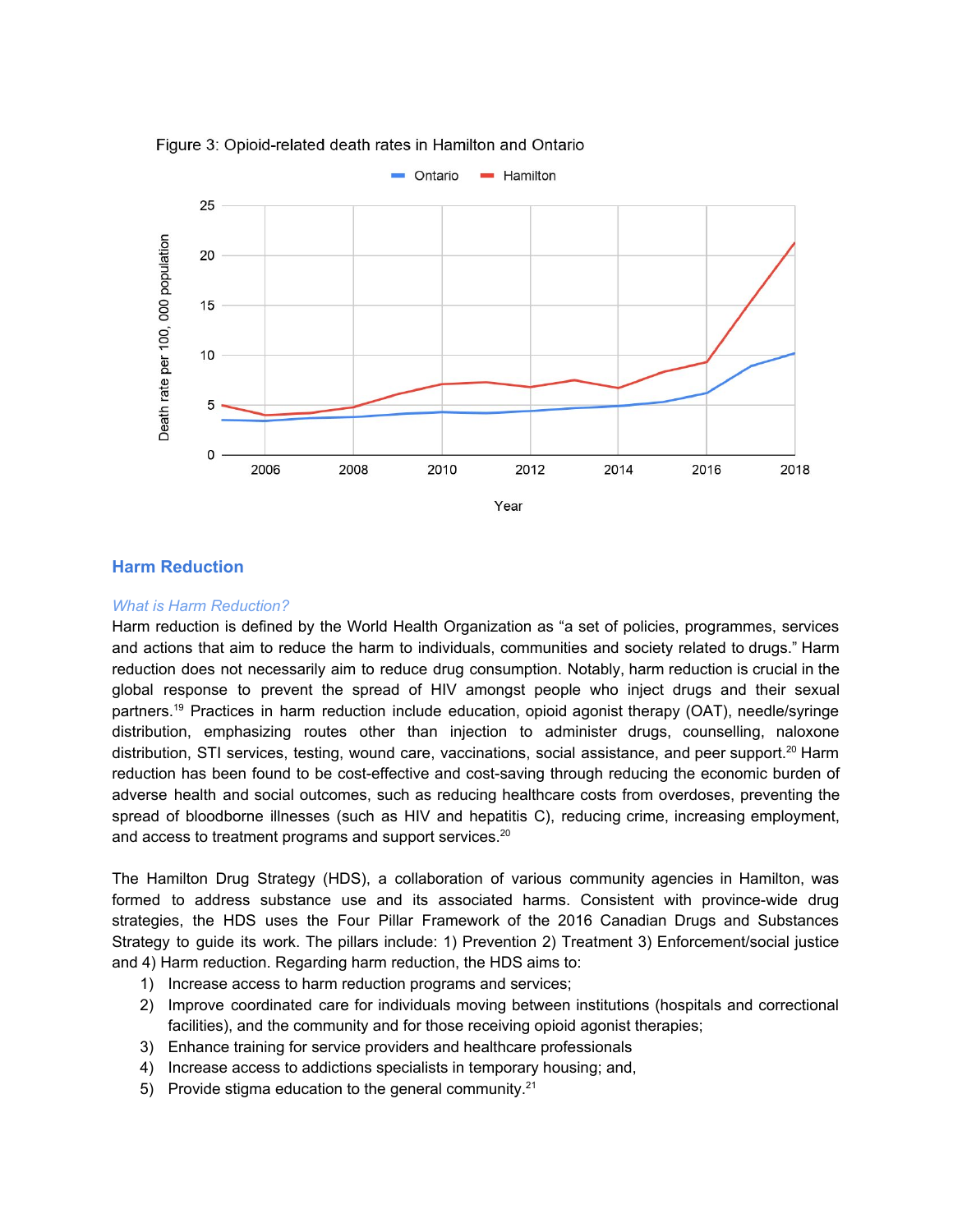

Figure 3: Opioid-related death rates in Hamilton and Ontario

#### **Harm Reduction**

#### *What is Harm Reduction?*

Harm reduction is defined by the World Health Organization as "a set of policies, programmes, services and actions that aim to reduce the harm to individuals, communities and society related to drugs." Harm reduction does not necessarily aim to reduce drug consumption. Notably, harm reduction is crucial in the global response to prevent the spread of HIV amongst people who inject drugs and their sexual partners. <sup>19</sup> Practices in harm reduction include education, opioid agonist therapy (OAT), needle/syringe distribution, emphasizing routes other than injection to administer drugs, counselling, naloxone distribution, STI services, testing, wound care, vaccinations, social assistance, and peer support.<sup>20</sup> Harm reduction has been found to be cost-effective and cost-saving through reducing the economic burden of adverse health and social outcomes, such as reducing healthcare costs from overdoses, preventing the spread of bloodborne illnesses (such as HIV and hepatitis C), reducing crime, increasing employment, and access to treatment programs and support services.<sup>20</sup>

The Hamilton Drug Strategy (HDS), a collaboration of various community agencies in Hamilton, was formed to address substance use and its associated harms. Consistent with province-wide drug strategies, the HDS uses the Four Pillar Framework of the 2016 Canadian Drugs and Substances Strategy to guide its work. The pillars include: 1) Prevention 2) Treatment 3) Enforcement/social justice and 4) Harm reduction. Regarding harm reduction, the HDS aims to:

- 1) Increase access to harm reduction programs and services;
- 2) Improve coordinated care for individuals moving between institutions (hospitals and correctional facilities), and the community and for those receiving opioid agonist therapies;
- 3) Enhance training for service providers and healthcare professionals
- 4) Increase access to addictions specialists in temporary housing; and,
- 5) Provide stigma education to the general community.<sup>21</sup>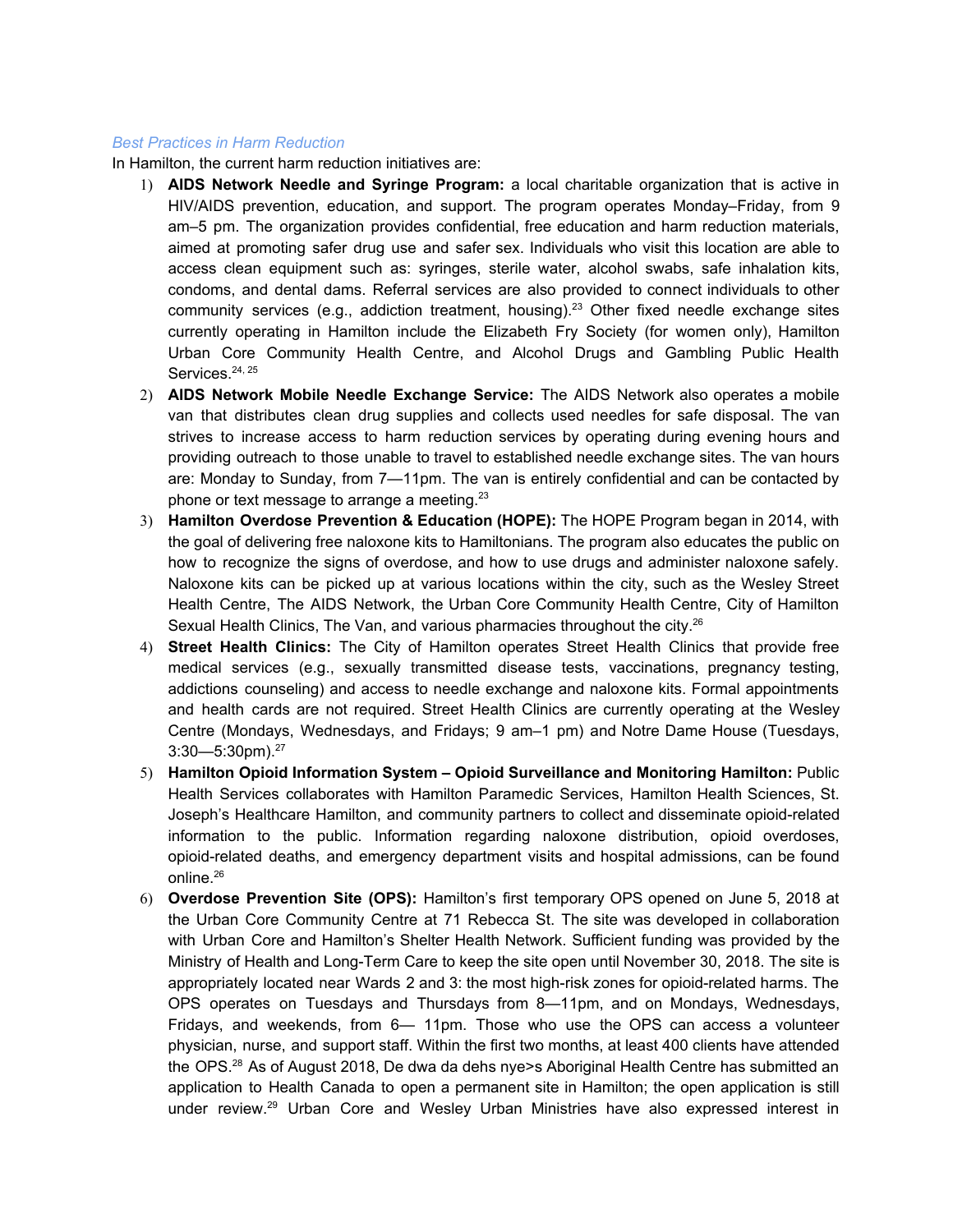#### *Best Practices in Harm Reduction*

In Hamilton, the current harm reduction initiatives are:

- 1) **AIDS Network Needle and Syringe Program:** a local charitable organization that is active in HIV/AIDS prevention, education, and support. The program operates Monday–Friday, from 9 am–5 pm. The organization provides confidential, free education and harm reduction materials, aimed at promoting safer drug use and safer sex. Individuals who visit this location are able to access clean equipment such as: syringes, sterile water, alcohol swabs, safe inhalation kits, condoms, and dental dams. Referral services are also provided to connect individuals to other community services (e.g., addiction treatment, housing).<sup>23</sup> Other fixed needle exchange sites currently operating in Hamilton include the Elizabeth Fry Society (for women only), Hamilton Urban Core Community Health Centre, and Alcohol Drugs and Gambling Public Health Services.<sup>24, 25</sup>
- 2) **AIDS Network Mobile Needle Exchange Service:** The AIDS Network also operates a mobile van that distributes clean drug supplies and collects used needles for safe disposal. The van strives to increase access to harm reduction services by operating during evening hours and providing outreach to those unable to travel to established needle exchange sites. The van hours are: Monday to Sunday, from 7—11pm. The van is entirely confidential and can be contacted by phone or text message to arrange a meeting.<sup>23</sup>
- 3) **Hamilton Overdose Prevention & Education (HOPE):** The HOPE Program began in 2014, with the goal of delivering free naloxone kits to Hamiltonians. The program also educates the public on how to recognize the signs of overdose, and how to use drugs and administer naloxone safely. Naloxone kits can be picked up at various locations within the city, such as the Wesley Street Health Centre, The AIDS Network, the Urban Core Community Health Centre, City of Hamilton Sexual Health Clinics, The Van, and various pharmacies throughout the city.<sup>26</sup>
- 4) **Street Health Clinics:** The City of Hamilton operates Street Health Clinics that provide free medical services (e.g., sexually transmitted disease tests, vaccinations, pregnancy testing, addictions counseling) and access to needle exchange and naloxone kits. Formal appointments and health cards are not required. Street Health Clinics are currently operating at the Wesley Centre (Mondays, Wednesdays, and Fridays; 9 am–1 pm) and Notre Dame House (Tuesdays,  $3:30-5:30$ pm).<sup>27</sup>
- 5) **Hamilton Opioid Information System – Opioid Surveillance and Monitoring Hamilton:** Public Health Services collaborates with Hamilton Paramedic Services, Hamilton Health Sciences, St. Joseph's Healthcare Hamilton, and community partners to collect and disseminate opioid-related information to the public. Information regarding naloxone distribution, opioid overdoses, opioid-related deaths, and emergency department visits and hospital admissions, can be found online. 26
- 6) **Overdose Prevention Site (OPS):** Hamilton's first temporary OPS opened on June 5, 2018 at the Urban Core Community Centre at 71 Rebecca St. The site was developed in collaboration with Urban Core and Hamilton's Shelter Health Network. Sufficient funding was provided by the Ministry of Health and Long-Term Care to keep the site open until November 30, 2018. The site is appropriately located near Wards 2 and 3: the most high-risk zones for opioid-related harms. The OPS operates on Tuesdays and Thursdays from 8—11pm, and on Mondays, Wednesdays, Fridays, and weekends, from 6— 11pm. Those who use the OPS can access a volunteer physician, nurse, and support staff. Within the first two months, at least 400 clients have attended the OPS.<sup>28</sup> As of August 2018, De dwa da dehs nye>s Aboriginal Health Centre has submitted an application to Health Canada to open a permanent site in Hamilton; the open application is still under review.<sup>29</sup> Urban Core and Wesley Urban Ministries have also expressed interest in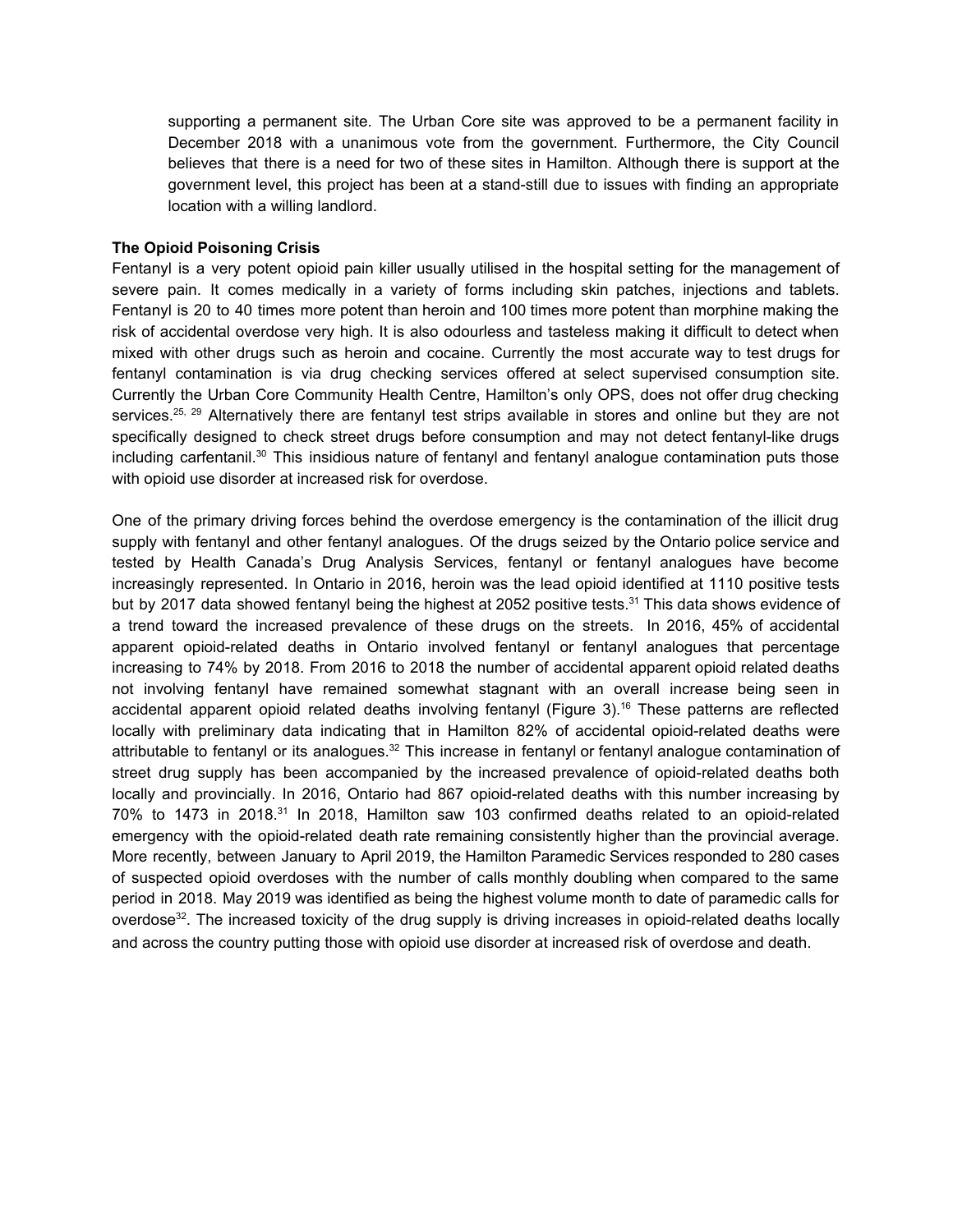supporting a permanent site. The Urban Core site was approved to be a permanent facility in December 2018 with a unanimous vote from the government. Furthermore, the City Council believes that there is a need for two of these sites in Hamilton. Although there is support at the government level, this project has been at a stand-still due to issues with finding an appropriate location with a willing landlord.

#### **The Opioid Poisoning Crisis**

Fentanyl is a very potent opioid pain killer usually utilised in the hospital setting for the management of severe pain. It comes medically in a variety of forms including skin patches, injections and tablets. Fentanyl is 20 to 40 times more potent than heroin and 100 times more potent than morphine making the risk of accidental overdose very high. It is also odourless and tasteless making it difficult to detect when mixed with other drugs such as heroin and cocaine. Currently the most accurate way to test drugs for fentanyl contamination is via drug checking services offered at select supervised consumption site. Currently the Urban Core Community Health Centre, Hamilton's only OPS, does not offer drug checking services.<sup>25, 29</sup> Alternatively there are fentanyl test strips available in stores and online but they are not specifically designed to check street drugs before consumption and may not detect fentanyl-like drugs including carfentanil.<sup>30</sup> This insidious nature of fentanyl and fentanyl analogue contamination puts those with opioid use disorder at increased risk for overdose.

One of the primary driving forces behind the overdose emergency is the contamination of the illicit drug supply with fentanyl and other fentanyl analogues. Of the drugs seized by the Ontario police service and tested by Health Canada's Drug Analysis Services, fentanyl or fentanyl analogues have become increasingly represented. In Ontario in 2016, heroin was the lead opioid identified at 1110 positive tests but by 2017 data showed fentanyl being the highest at 2052 positive tests.<sup>31</sup> This data shows evidence of a trend toward the increased prevalence of these drugs on the streets. In 2016, 45% of accidental apparent opioid-related deaths in Ontario involved fentanyl or fentanyl analogues that percentage increasing to 74% by 2018. From 2016 to 2018 the number of accidental apparent opioid related deaths not involving fentanyl have remained somewhat stagnant with an overall increase being seen in accidental apparent opioid related deaths involving fentanyl (Figure 3). <sup>16</sup> These patterns are reflected locally with preliminary data indicating that in Hamilton 82% of accidental opioid-related deaths were attributable to fentanyl or its analogues.<sup>32</sup> This increase in fentanyl or fentanyl analogue contamination of street drug supply has been accompanied by the increased prevalence of opioid-related deaths both locally and provincially. In 2016, Ontario had 867 opioid-related deaths with this number increasing by 70% to 1473 in 2018.<sup>31</sup> In 2018, Hamilton saw 103 confirmed deaths related to an opioid-related emergency with the opioid-related death rate remaining consistently higher than the provincial average. More recently, between January to April 2019, the Hamilton Paramedic Services responded to 280 cases of suspected opioid overdoses with the number of calls monthly doubling when compared to the same period in 2018. May 2019 was identified as being the highest volume month to date of paramedic calls for overdose<sup>32</sup>. The increased toxicity of the drug supply is driving increases in opioid-related deaths locally and across the country putting those with opioid use disorder at increased risk of overdose and death.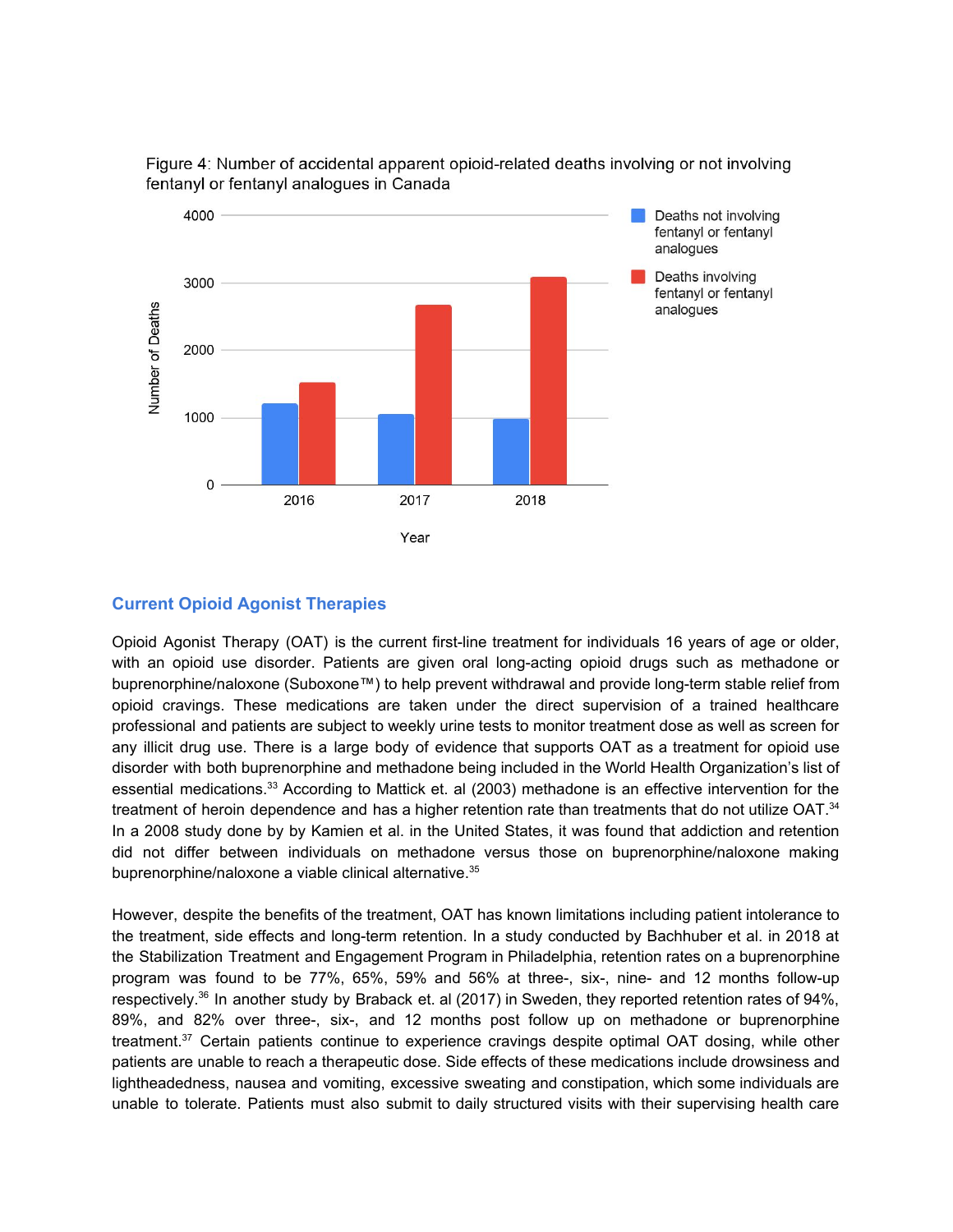

Figure 4: Number of accidental apparent opioid-related deaths involving or not involving fentanyl or fentanyl analogues in Canada

#### **Current Opioid Agonist Therapies**

Opioid Agonist Therapy (OAT) is the current first-line treatment for individuals 16 years of age or older, with an opioid use disorder. Patients are given oral long-acting opioid drugs such as methadone or buprenorphine/naloxone (Suboxone™) to help prevent withdrawal and provide long-term stable relief from opioid cravings. These medications are taken under the direct supervision of a trained healthcare professional and patients are subject to weekly urine tests to monitor treatment dose as well as screen for any illicit drug use. There is a large body of evidence that supports OAT as a treatment for opioid use disorder with both buprenorphine and methadone being included in the World Health Organization's list of essential medications.<sup>33</sup> According to Mattick et. al (2003) methadone is an effective intervention for the treatment of heroin dependence and has a higher retention rate than treatments that do not utilize OAT.<sup>34</sup> In a 2008 study done by by Kamien et al. in the United States, it was found that addiction and retention did not differ between individuals on methadone versus those on buprenorphine/naloxone making buprenorphine/naloxone a viable clinical alternative. 35

However, despite the benefits of the treatment, OAT has known limitations including patient intolerance to the treatment, side effects and long-term retention. In a study conducted by Bachhuber et al. in 2018 at the Stabilization Treatment and Engagement Program in Philadelphia, retention rates on a buprenorphine program was found to be 77%, 65%, 59% and 56% at three-, six-, nine- and 12 months follow-up respectively.<sup>36</sup> In another study by Braback et. al (2017) in Sweden, they reported retention rates of 94%, 89%, and 82% over three-, six-, and 12 months post follow up on methadone or buprenorphine treatment. <sup>37</sup> Certain patients continue to experience cravings despite optimal OAT dosing, while other patients are unable to reach a therapeutic dose. Side effects of these medications include drowsiness and lightheadedness, nausea and vomiting, excessive sweating and constipation, which some individuals are unable to tolerate. Patients must also submit to daily structured visits with their supervising health care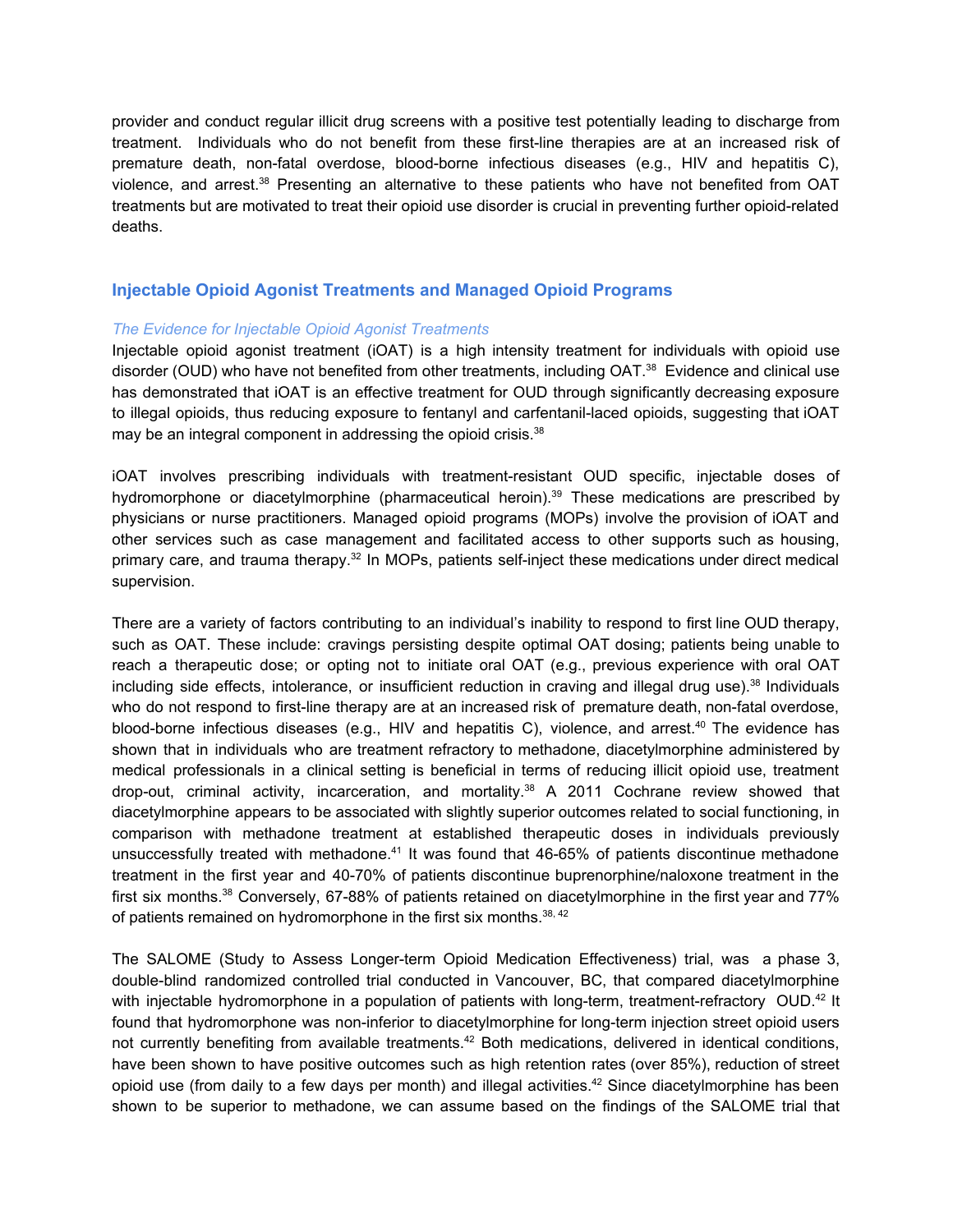provider and conduct regular illicit drug screens with a positive test potentially leading to discharge from treatment. Individuals who do not benefit from these first-line therapies are at an increased risk of premature death, non-fatal overdose, blood-borne infectious diseases (e.g., HIV and hepatitis C), violence, and arrest.<sup>38</sup> Presenting an alternative to these patients who have not benefited from OAT treatments but are motivated to treat their opioid use disorder is crucial in preventing further opioid-related deaths.

#### **Injectable Opioid Agonist Treatments and Managed Opioid Programs**

#### *The Evidence for Injectable Opioid Agonist Treatments*

Injectable opioid agonist treatment (iOAT) is a high intensity treatment for individuals with opioid use disorder (OUD) who have not benefited from other treatments, including OAT.<sup>38</sup> Evidence and clinical use has demonstrated that iOAT is an effective treatment for OUD through significantly decreasing exposure to illegal opioids, thus reducing exposure to fentanyl and carfentanil-laced opioids, suggesting that iOAT may be an integral component in addressing the opioid crisis.<sup>38</sup>

iOAT involves prescribing individuals with treatment-resistant OUD specific, injectable doses of hydromorphone or diacetylmorphine (pharmaceutical heroin).<sup>39</sup> These medications are prescribed by physicians or nurse practitioners. Managed opioid programs (MOPs) involve the provision of iOAT and other services such as case management and facilitated access to other supports such as housing, primary care, and trauma therapy.<sup>32</sup> In MOPs, patients self-inject these medications under direct medical supervision.

There are a variety of factors contributing to an individual's inability to respond to first line OUD therapy, such as OAT. These include: cravings persisting despite optimal OAT dosing; patients being unable to reach a therapeutic dose; or opting not to initiate oral OAT (e.g., previous experience with oral OAT including side effects, intolerance, or insufficient reduction in craving and illegal drug use).<sup>38</sup> Individuals who do not respond to first-line therapy are at an increased risk of premature death, non-fatal overdose, blood-borne infectious diseases (e.g., HIV and hepatitis C), violence, and arrest.<sup>40</sup> The evidence has shown that in individuals who are treatment refractory to methadone, diacetylmorphine administered by medical professionals in a clinical setting is beneficial in terms of reducing illicit opioid use, treatment drop-out, criminal activity, incarceration, and mortality. <sup>38</sup> A 2011 Cochrane review showed that diacetylmorphine appears to be associated with slightly superior outcomes related to social functioning, in comparison with methadone treatment at established therapeutic doses in individuals previously unsuccessfully treated with methadone.<sup>41</sup> It was found that 46-65% of patients discontinue methadone treatment in the first year and 40-70% of patients discontinue buprenorphine/naloxone treatment in the first six months.<sup>38</sup> Conversely, 67-88% of patients retained on diacetylmorphine in the first year and 77% of patients remained on hydromorphone in the first six months.<sup>38, 42</sup>

The SALOME (Study to Assess Longer-term Opioid Medication Effectiveness) trial, was a phase 3, double-blind randomized controlled trial conducted in Vancouver, BC, that compared diacetylmorphine with injectable hydromorphone in a population of patients with long-term, treatment-refractory OUD.<sup>42</sup> It found that hydromorphone was non-inferior to diacetylmorphine for long-term injection street opioid users not currently benefiting from available treatments.<sup>42</sup> Both medications, delivered in identical conditions, have been shown to have positive outcomes such as high retention rates (over 85%), reduction of street opioid use (from daily to a few days per month) and illegal activities.<sup>42</sup> Since diacetylmorphine has been shown to be superior to methadone, we can assume based on the findings of the SALOME trial that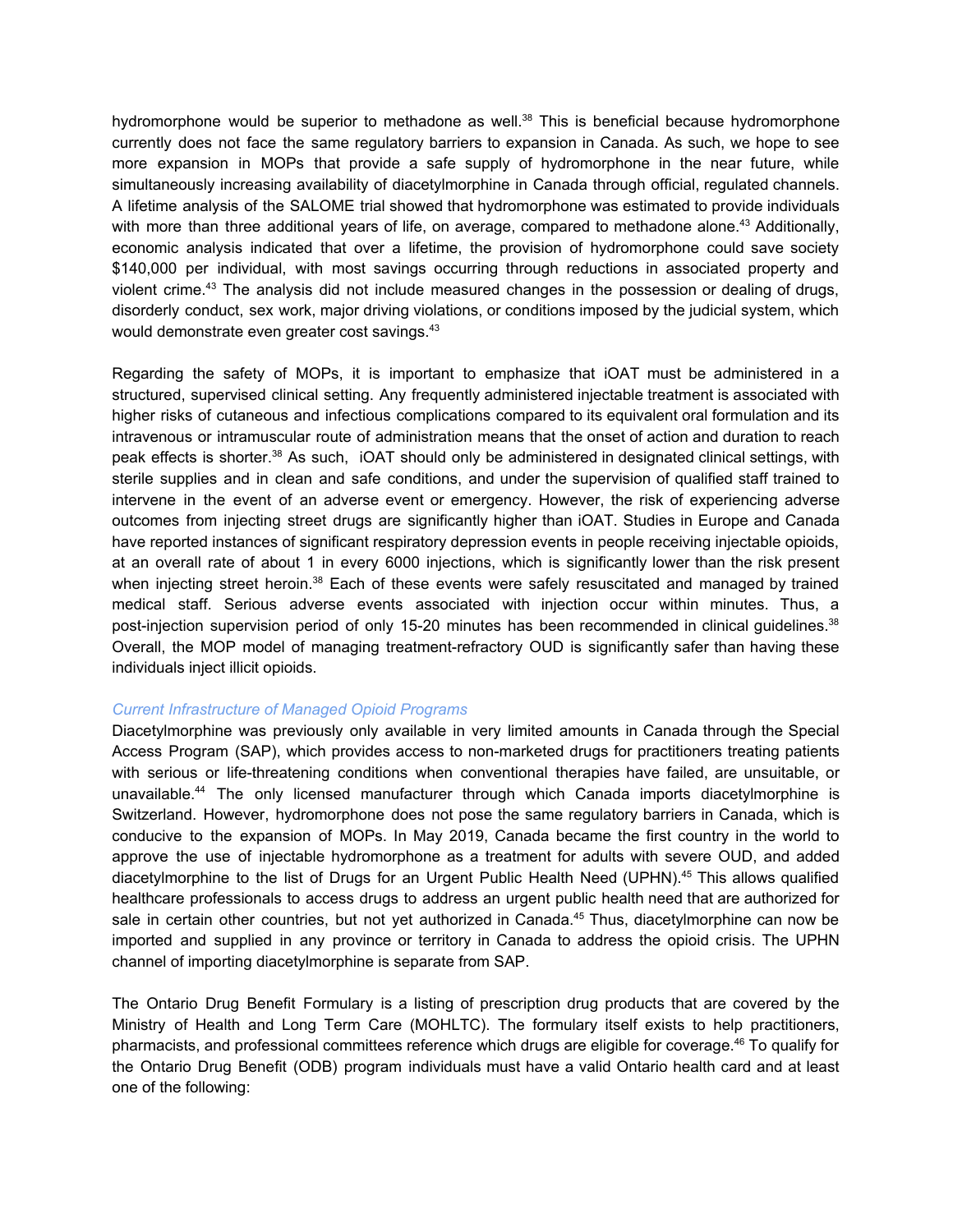hydromorphone would be superior to methadone as well.<sup>38</sup> This is beneficial because hydromorphone currently does not face the same regulatory barriers to expansion in Canada. As such, we hope to see more expansion in MOPs that provide a safe supply of hydromorphone in the near future, while simultaneously increasing availability of diacetylmorphine in Canada through official, regulated channels. A lifetime analysis of the SALOME trial showed that hydromorphone was estimated to provide individuals with more than three additional years of life, on average, compared to methadone alone.<sup>43</sup> Additionally, economic analysis indicated that over a lifetime, the provision of hydromorphone could save society \$140,000 per individual, with most savings occurring through reductions in associated property and violent crime.<sup>43</sup> The analysis did not include measured changes in the possession or dealing of drugs, disorderly conduct, sex work, major driving violations, or conditions imposed by the judicial system, which would demonstrate even greater cost savings.<sup>43</sup>

Regarding the safety of MOPs, it is important to emphasize that iOAT must be administered in a structured, supervised clinical setting. Any frequently administered injectable treatment is associated with higher risks of cutaneous and infectious complications compared to its equivalent oral formulation and its intravenous or intramuscular route of administration means that the onset of action and duration to reach peak effects is shorter.<sup>38</sup> As such, iOAT should only be administered in designated clinical settings, with sterile supplies and in clean and safe conditions, and under the supervision of qualified staff trained to intervene in the event of an adverse event or emergency. However, the risk of experiencing adverse outcomes from injecting street drugs are significantly higher than iOAT. Studies in Europe and Canada have reported instances of significant respiratory depression events in people receiving injectable opioids, at an overall rate of about 1 in every 6000 injections, which is significantly lower than the risk present when injecting street heroin.<sup>38</sup> Each of these events were safely resuscitated and managed by trained medical staff. Serious adverse events associated with injection occur within minutes. Thus, a post-injection supervision period of only 15-20 minutes has been recommended in clinical guidelines.<sup>38</sup> Overall, the MOP model of managing treatment-refractory OUD is significantly safer than having these individuals inject illicit opioids.

#### *Current Infrastructure of Managed Opioid Programs*

Diacetylmorphine was previously only available in very limited amounts in Canada through the Special Access Program (SAP), which provides access to non-marketed drugs for practitioners treating patients with serious or life-threatening conditions when conventional therapies have failed, are unsuitable, or unavailable. <sup>44</sup> The only licensed manufacturer through which Canada imports diacetylmorphine is Switzerland. However, hydromorphone does not pose the same regulatory barriers in Canada, which is conducive to the expansion of MOPs. In May 2019, Canada became the first country in the world to approve the use of injectable hydromorphone as a treatment for adults with severe OUD, and added diacetylmorphine to the list of Drugs for an Urgent Public Health Need (UPHN). <sup>45</sup> This allows qualified healthcare professionals to access drugs to address an urgent public health need that are authorized for sale in certain other countries, but not yet authorized in Canada.<sup>45</sup> Thus, diacetylmorphine can now be imported and supplied in any province or territory in Canada to address the opioid crisis. The UPHN channel of importing diacetylmorphine is separate from SAP.

The Ontario Drug Benefit Formulary is a listing of prescription drug products that are covered by the Ministry of Health and Long Term Care (MOHLTC). The formulary itself exists to help practitioners, pharmacists, and professional committees reference which drugs are eligible for coverage. <sup>46</sup> To qualify for the Ontario Drug Benefit (ODB) program individuals must have a valid Ontario health card and at least one of the following: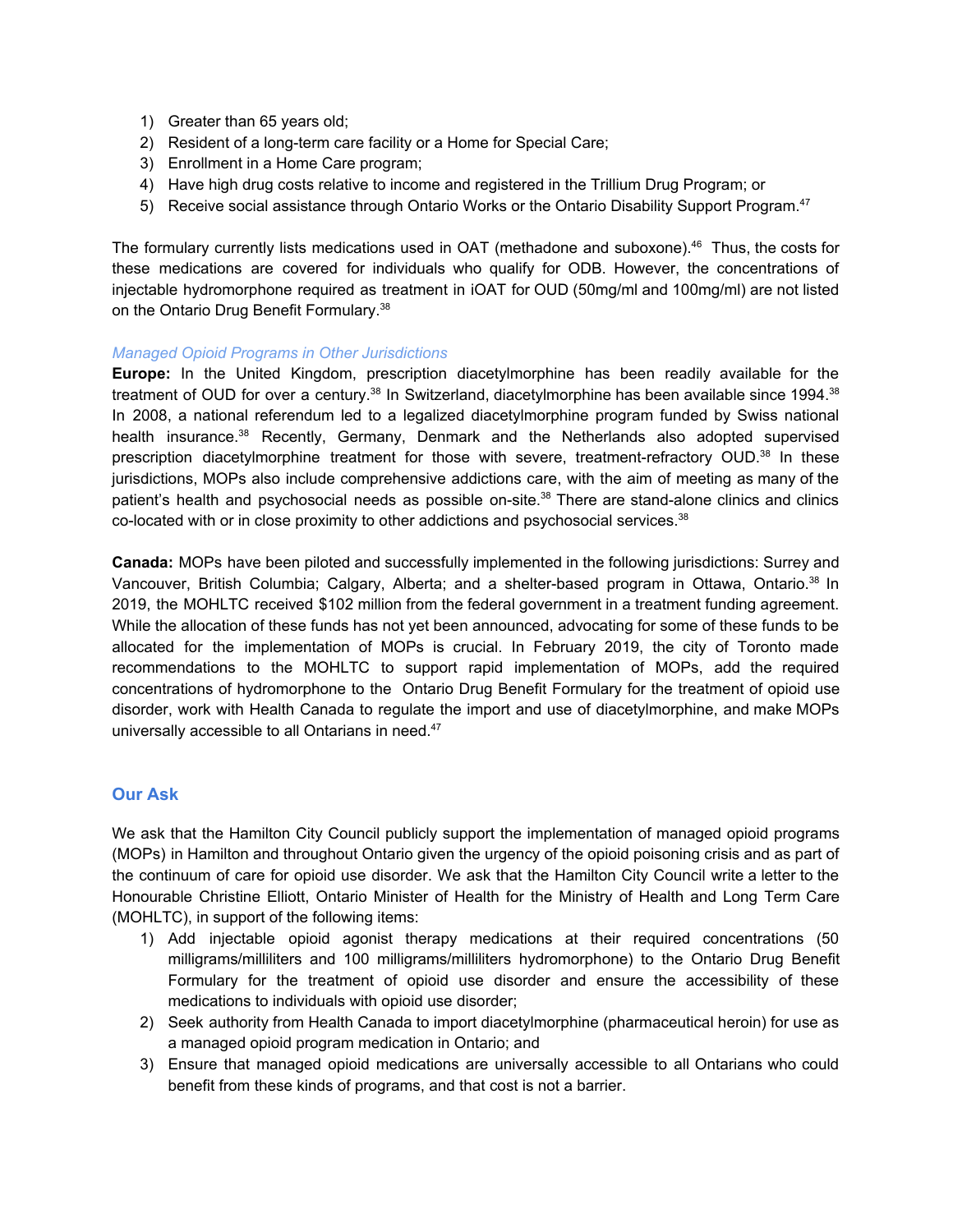- 1) Greater than 65 years old;
- 2) Resident of a long-term care facility or a Home for Special Care;
- 3) Enrollment in a Home Care program;
- 4) Have high drug costs relative to income and registered in the Trillium Drug Program; or
- 5) Receive social assistance through Ontario Works or the Ontario Disability Support Program.<sup>47</sup>

The formulary currently lists medications used in OAT (methadone and suboxone). <sup>46</sup> Thus, the costs for these medications are covered for individuals who qualify for ODB. However, the concentrations of injectable hydromorphone required as treatment in iOAT for OUD (50mg/ml and 100mg/ml) are not listed on the Ontario Drug Benefit Formulary.<sup>38</sup>

#### *Managed Opioid Programs in Other Jurisdictions*

**Europe:** In the United Kingdom, prescription diacetylmorphine has been readily available for the treatment of OUD for over a century.<sup>38</sup> In Switzerland, diacetylmorphine has been available since 1994.<sup>38</sup> In 2008, a national referendum led to a legalized diacetylmorphine program funded by Swiss national health insurance. <sup>38</sup> Recently, Germany, Denmark and the Netherlands also adopted supervised prescription diacetylmorphine treatment for those with severe, treatment-refractory OUD.<sup>38</sup> In these jurisdictions, MOPs also include comprehensive addictions care, with the aim of meeting as many of the patient's health and psychosocial needs as possible on-site.<sup>38</sup> There are stand-alone clinics and clinics co-located with or in close proximity to other addictions and psychosocial services. $38$ 

**Canada:** MOPs have been piloted and successfully implemented in the following jurisdictions: Surrey and Vancouver, British Columbia; Calgary, Alberta; and a shelter-based program in Ottawa, Ontario.<sup>38</sup> In 2019, the MOHLTC received \$102 million from the federal government in a treatment funding agreement. While the allocation of these funds has not yet been announced, advocating for some of these funds to be allocated for the implementation of MOPs is crucial. In February 2019, the city of Toronto made recommendations to the MOHLTC to support rapid implementation of MOPs, add the required concentrations of hydromorphone to the Ontario Drug Benefit Formulary for the treatment of opioid use disorder, work with Health Canada to regulate the import and use of diacetylmorphine, and make MOPs universally accessible to all Ontarians in need.<sup>47</sup>

#### **Our Ask**

We ask that the Hamilton City Council publicly support the implementation of managed opioid programs (MOPs) in Hamilton and throughout Ontario given the urgency of the opioid poisoning crisis and as part of the continuum of care for opioid use disorder. We ask that the Hamilton City Council write a letter to the Honourable Christine Elliott, Ontario Minister of Health for the Ministry of Health and Long Term Care (MOHLTC), in support of the following items:

- 1) Add injectable opioid agonist therapy medications at their required concentrations (50 milligrams/milliliters and 100 milligrams/milliliters hydromorphone) to the Ontario Drug Benefit Formulary for the treatment of opioid use disorder and ensure the accessibility of these medications to individuals with opioid use disorder;
- 2) Seek authority from Health Canada to import diacetylmorphine (pharmaceutical heroin) for use as a managed opioid program medication in Ontario; and
- 3) Ensure that managed opioid medications are universally accessible to all Ontarians who could benefit from these kinds of programs, and that cost is not a barrier.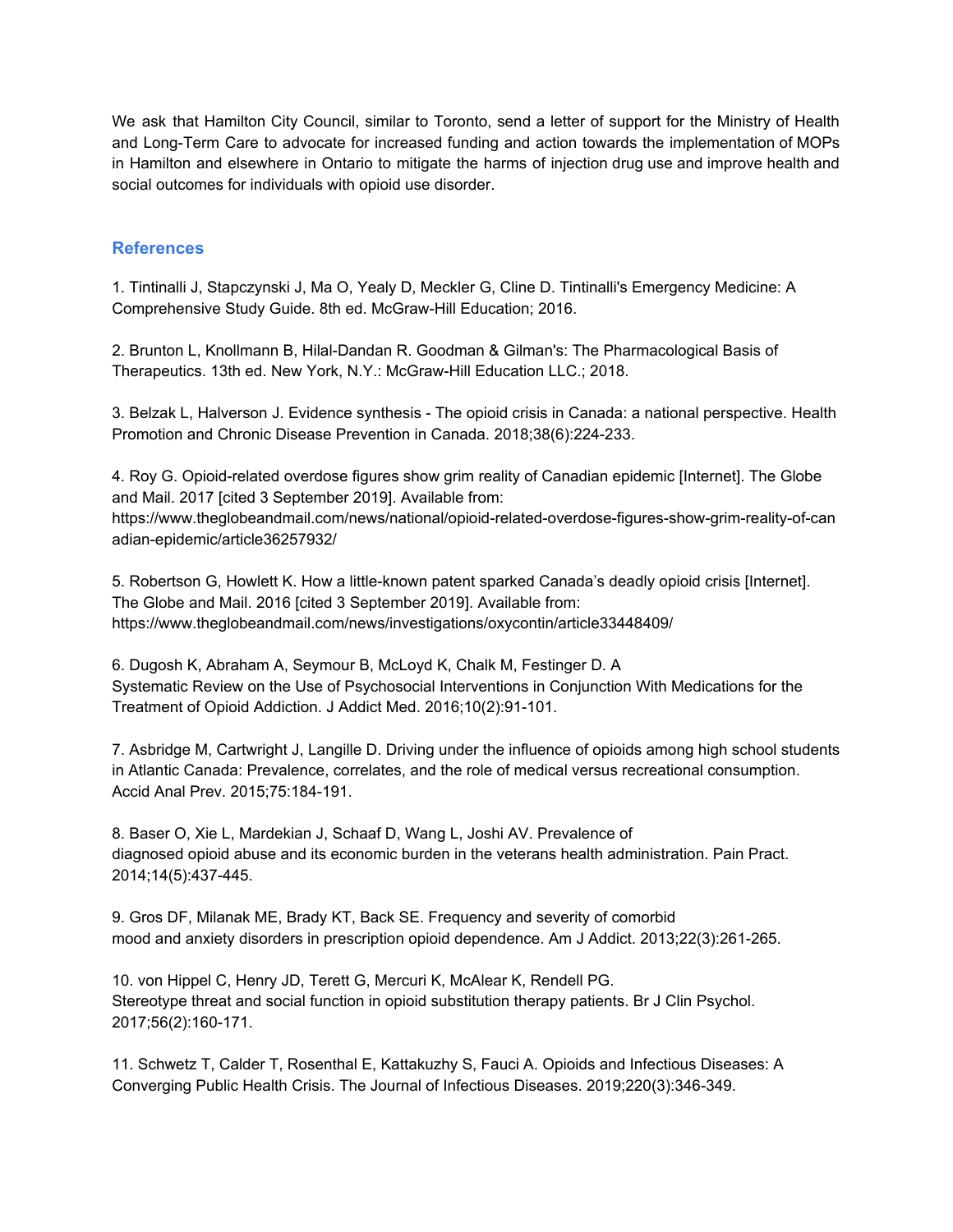We ask that Hamilton City Council, similar to Toronto, send a letter of support for the Ministry of Health and Long-Term Care to advocate for increased funding and action towards the implementation of MOPs in Hamilton and elsewhere in Ontario to mitigate the harms of injection drug use and improve health and social outcomes for individuals with opioid use disorder.

#### **References**

1. Tintinalli J, Stapczynski J, Ma O, Yealy D, Meckler G, Cline D. Tintinalli's Emergency Medicine: A Comprehensive Study Guide. 8th ed. McGraw-Hill Education; 2016.

2. Brunton L, Knollmann B, Hilal-Dandan R. Goodman & Gilman's: The Pharmacological Basis of Therapeutics. 13th ed. New York, N.Y.: McGraw-Hill Education LLC.; 2018.

3. Belzak L, Halverson J. Evidence synthesis - The opioid crisis in Canada: a national perspective. Health Promotion and Chronic Disease Prevention in Canada. 2018;38(6):224-233.

4. Roy G. Opioid-related overdose figures show grim reality of Canadian epidemic [Internet]. The Globe and Mail. 2017 [cited 3 September 2019]. Available from:

https://www.theglobeandmail.com/news/national/opioid-related-overdose-figures-show-grim-reality-of-can adian-epidemic/article36257932/

5. Robertson G, Howlett K. How a little-known patent sparked Canada's deadly opioid crisis [Internet]. The Globe and Mail. 2016 [cited 3 September 2019]. Available from: https://www.theglobeandmail.com/news/investigations/oxycontin/article33448409/

6. Dugosh K, Abraham A, Seymour B, McLoyd K, Chalk M, Festinger D. A Systematic Review on the Use of Psychosocial Interventions in Conjunction With Medications for the Treatment of Opioid Addiction. J Addict Med. 2016;10(2):91-101.

7. Asbridge M, Cartwright J, Langille D. Driving under the influence of opioids among high school students in Atlantic Canada: Prevalence, correlates, and the role of medical versus recreational consumption. Accid Anal Prev. 2015;75:184-191.

8. Baser O, Xie L, Mardekian J, Schaaf D, Wang L, Joshi AV. Prevalence of diagnosed opioid abuse and its economic burden in the veterans health administration. Pain Pract. 2014;14(5):437-445.

9. Gros DF, Milanak ME, Brady KT, Back SE. Frequency and severity of comorbid mood and anxiety disorders in prescription opioid dependence. Am J Addict. 2013;22(3):261-265.

10. von Hippel C, Henry JD, Terett G, Mercuri K, McAlear K, Rendell PG. Stereotype threat and social function in opioid substitution therapy patients. Br J Clin Psychol. 2017;56(2):160-171.

11. Schwetz T, Calder T, Rosenthal E, Kattakuzhy S, Fauci A. Opioids and Infectious Diseases: A Converging Public Health Crisis. The Journal of Infectious Diseases. 2019;220(3):346-349.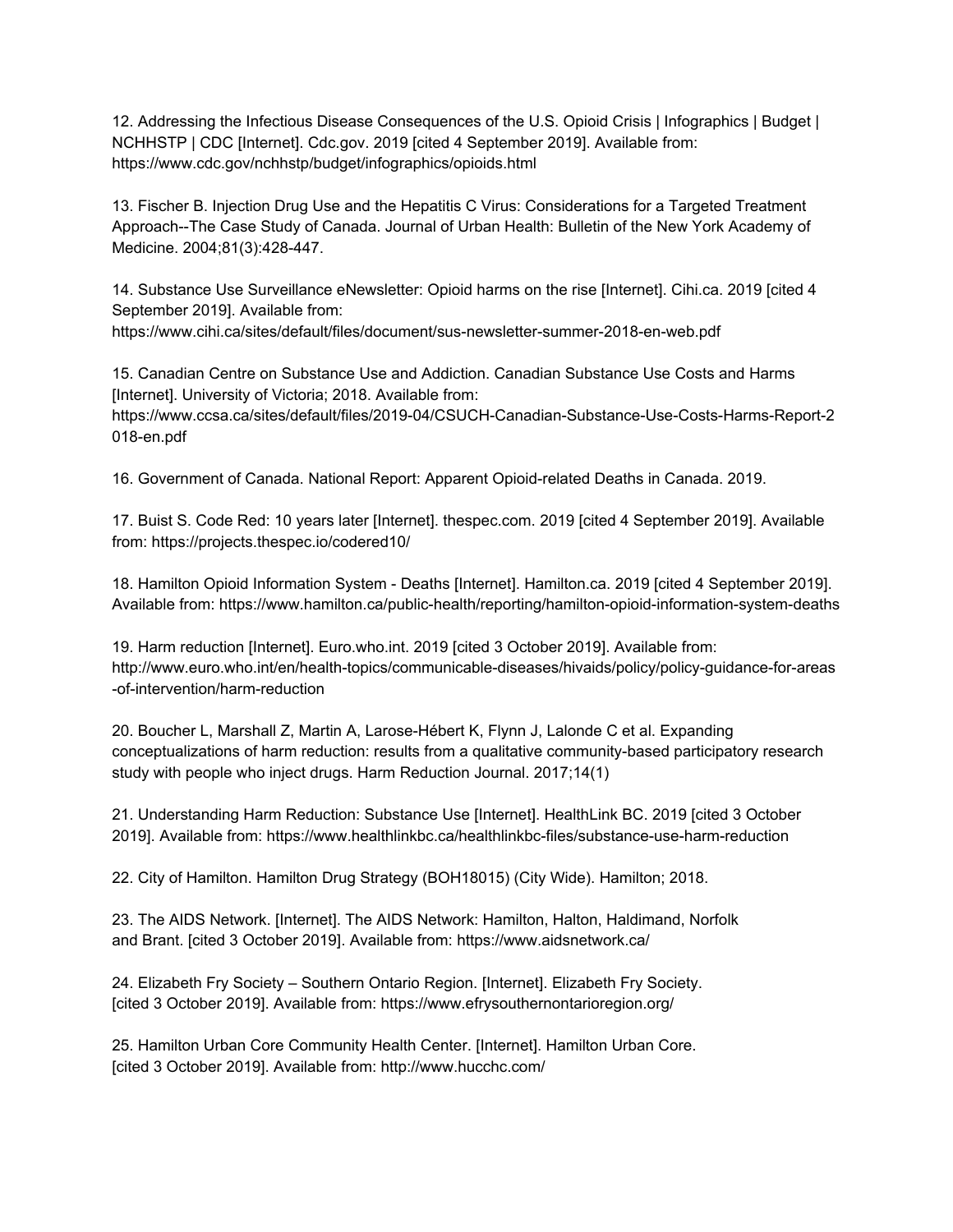12. Addressing the Infectious Disease Consequences of the U.S. Opioid Crisis | Infographics | Budget | NCHHSTP | CDC [Internet]. Cdc.gov. 2019 [cited 4 September 2019]. Available from: https://www.cdc.gov/nchhstp/budget/infographics/opioids.html

13. Fischer B. Injection Drug Use and the Hepatitis C Virus: Considerations for a Targeted Treatment Approach--The Case Study of Canada. Journal of Urban Health: Bulletin of the New York Academy of Medicine. 2004;81(3):428-447.

14. Substance Use Surveillance eNewsletter: Opioid harms on the rise [Internet]. Cihi.ca. 2019 [cited 4 September 2019]. Available from:

https://www.cihi.ca/sites/default/files/document/sus-newsletter-summer-2018-en-web.pdf

15. Canadian Centre on Substance Use and Addiction. Canadian Substance Use Costs and Harms [Internet]. University of Victoria; 2018. Available from:

https://www.ccsa.ca/sites/default/files/2019-04/CSUCH-Canadian-Substance-Use-Costs-Harms-Report-2 018-en.pdf

16. Government of Canada. National Report: Apparent Opioid-related Deaths in Canada. 2019.

17. Buist S. Code Red: 10 years later [Internet]. thespec.com. 2019 [cited 4 September 2019]. Available from: https://projects.thespec.io/codered10/

18. Hamilton Opioid Information System - Deaths [Internet]. Hamilton.ca. 2019 [cited 4 September 2019]. Available from: https://www.hamilton.ca/public-health/reporting/hamilton-opioid-information-system-deaths

19. Harm reduction [Internet]. Euro.who.int. 2019 [cited 3 October 2019]. Available from: http://www.euro.who.int/en/health-topics/communicable-diseases/hivaids/policy/policy-guidance-for-areas -of-intervention/harm-reduction

20. Boucher L, Marshall Z, Martin A, Larose-Hébert K, Flynn J, Lalonde C et al. Expanding conceptualizations of harm reduction: results from a qualitative community-based participatory research study with people who inject drugs. Harm Reduction Journal. 2017;14(1)

21. Understanding Harm Reduction: Substance Use [Internet]. HealthLink BC. 2019 [cited 3 October 2019]. Available from: https://www.healthlinkbc.ca/healthlinkbc-files/substance-use-harm-reduction

22. City of Hamilton. Hamilton Drug Strategy (BOH18015) (City Wide). Hamilton; 2018.

23. The AIDS Network. [Internet]. The AIDS Network: Hamilton, Halton, Haldimand, Norfolk and Brant. [cited 3 October 2019]. Available from: https://www.aidsnetwork.ca/

24. Elizabeth Fry Society – Southern Ontario Region. [Internet]. Elizabeth Fry Society. [cited 3 October 2019]. Available from: https://www.efrysouthernontarioregion.org/

25. Hamilton Urban Core Community Health Center. [Internet]. Hamilton Urban Core. [cited 3 October 2019]. Available from: http://www.hucchc.com/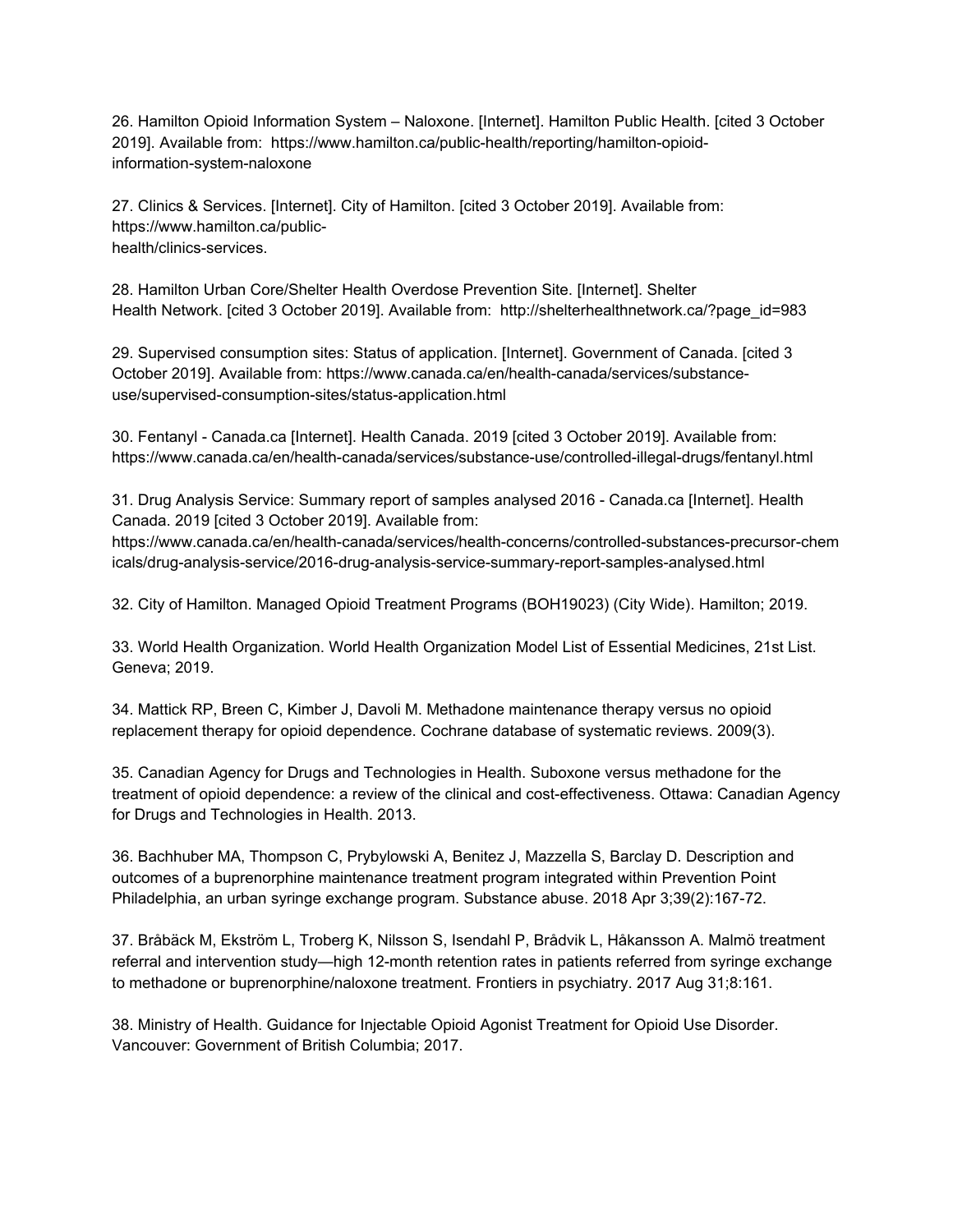26. Hamilton Opioid Information System – Naloxone. [Internet]. Hamilton Public Health. [cited 3 October 2019]. Available from: https://www.hamilton.ca/public-health/reporting/hamilton-opioidinformation-system-naloxone

27. Clinics & Services. [Internet]. City of Hamilton. [cited 3 October 2019]. Available from: https://www.hamilton.ca/publichealth/clinics-services.

28. Hamilton Urban Core/Shelter Health Overdose Prevention Site. [Internet]. Shelter Health Network. [cited 3 October 2019]. Available from: http://shelterhealthnetwork.ca/?page\_id=983

29. Supervised consumption sites: Status of application. [Internet]. Government of Canada. [cited 3 October 2019]. Available from: https://www.canada.ca/en/health-canada/services/substanceuse/supervised-consumption-sites/status-application.html

30. Fentanyl - Canada.ca [Internet]. Health Canada. 2019 [cited 3 October 2019]. Available from: https://www.canada.ca/en/health-canada/services/substance-use/controlled-illegal-drugs/fentanyl.html

31. Drug Analysis Service: Summary report of samples analysed 2016 - Canada.ca [Internet]. Health Canada. 2019 [cited 3 October 2019]. Available from:

https://www.canada.ca/en/health-canada/services/health-concerns/controlled-substances-precursor-chem icals/drug-analysis-service/2016-drug-analysis-service-summary-report-samples-analysed.html

32. City of Hamilton. Managed Opioid Treatment Programs (BOH19023) (City Wide). Hamilton; 2019.

33. World Health Organization. World Health Organization Model List of Essential Medicines, 21st List. Geneva; 2019.

34. Mattick RP, Breen C, Kimber J, Davoli M. Methadone maintenance therapy versus no opioid replacement therapy for opioid dependence. Cochrane database of systematic reviews. 2009(3).

35. Canadian Agency for Drugs and Technologies in Health. Suboxone versus methadone for the treatment of opioid dependence: a review of the clinical and cost-effectiveness. Ottawa: Canadian Agency for Drugs and Technologies in Health. 2013.

36. Bachhuber MA, Thompson C, Prybylowski A, Benitez J, Mazzella S, Barclay D. Description and outcomes of a buprenorphine maintenance treatment program integrated within Prevention Point Philadelphia, an urban syringe exchange program. Substance abuse. 2018 Apr 3;39(2):167-72.

37. Bråbäck M, Ekström L, Troberg K, Nilsson S, Isendahl P, Brådvik L, Håkansson A. Malmö treatment referral and intervention study—high 12-month retention rates in patients referred from syringe exchange to methadone or buprenorphine/naloxone treatment. Frontiers in psychiatry. 2017 Aug 31;8:161.

38. Ministry of Health. Guidance for Injectable Opioid Agonist Treatment for Opioid Use Disorder. Vancouver: Government of British Columbia; 2017.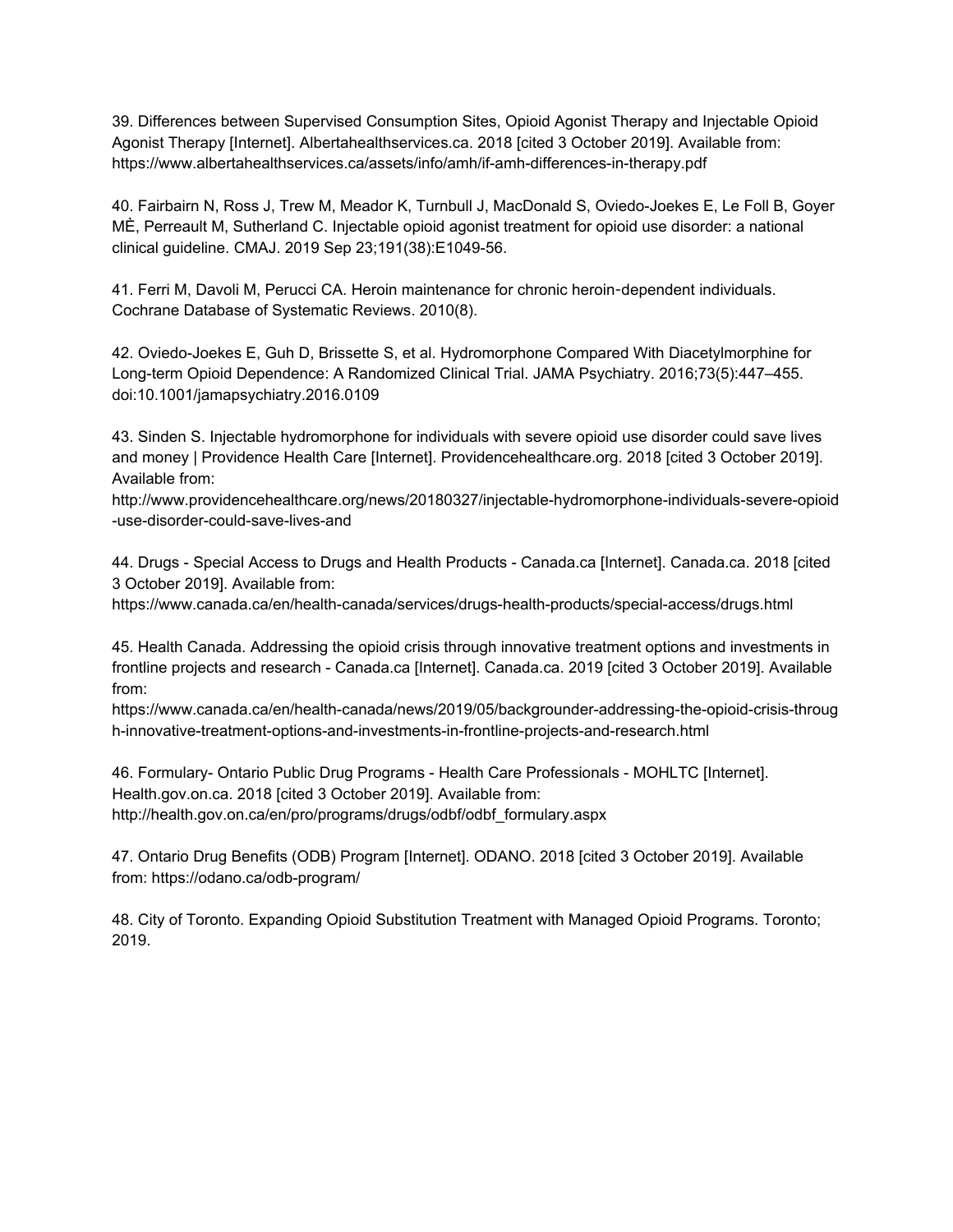39. Differences between Supervised Consumption Sites, Opioid Agonist Therapy and Injectable Opioid Agonist Therapy [Internet]. Albertahealthservices.ca. 2018 [cited 3 October 2019]. Available from: https://www.albertahealthservices.ca/assets/info/amh/if-amh-differences-in-therapy.pdf

40. Fairbairn N, Ross J, Trew M, Meador K, Turnbull J, MacDonald S, Oviedo-Joekes E, Le Foll B, Goyer MÈ, Perreault M, Sutherland C. Injectable opioid agonist treatment for opioid use disorder: a national clinical guideline. CMAJ. 2019 Sep 23;191(38):E1049-56.

41. Ferri M, Davoli M, Perucci CA. Heroin maintenance for chronic heroin-dependent individuals. Cochrane Database of Systematic Reviews. 2010(8).

42. Oviedo-Joekes E, Guh D, Brissette S, et al. Hydromorphone Compared With Diacetylmorphine for Long-term Opioid Dependence: A Randomized Clinical Trial. JAMA Psychiatry. 2016;73(5):447–455. doi:10.1001/jamapsychiatry.2016.0109

43. Sinden S. Injectable hydromorphone for individuals with severe opioid use disorder could save lives and money | Providence Health Care [Internet]. Providencehealthcare.org. 2018 [cited 3 October 2019]. Available from:

http://www.providencehealthcare.org/news/20180327/injectable-hydromorphone-individuals-severe-opioid -use-disorder-could-save-lives-and

44. Drugs - Special Access to Drugs and Health Products - Canada.ca [Internet]. Canada.ca. 2018 [cited 3 October 2019]. Available from:

https://www.canada.ca/en/health-canada/services/drugs-health-products/special-access/drugs.html

45. Health Canada. Addressing the opioid crisis through innovative treatment options and investments in frontline projects and research - Canada.ca [Internet]. Canada.ca. 2019 [cited 3 October 2019]. Available from:

https://www.canada.ca/en/health-canada/news/2019/05/backgrounder-addressing-the-opioid-crisis-throug h-innovative-treatment-options-and-investments-in-frontline-projects-and-research.html

46. Formulary- Ontario Public Drug Programs - Health Care Professionals - MOHLTC [Internet]. Health.gov.on.ca. 2018 [cited 3 October 2019]. Available from: http://health.gov.on.ca/en/pro/programs/drugs/odbf/odbf\_formulary.aspx

47. Ontario Drug Benefits (ODB) Program [Internet]. ODANO. 2018 [cited 3 October 2019]. Available from: https://odano.ca/odb-program/

48. City of Toronto. Expanding Opioid Substitution Treatment with Managed Opioid Programs. Toronto; 2019.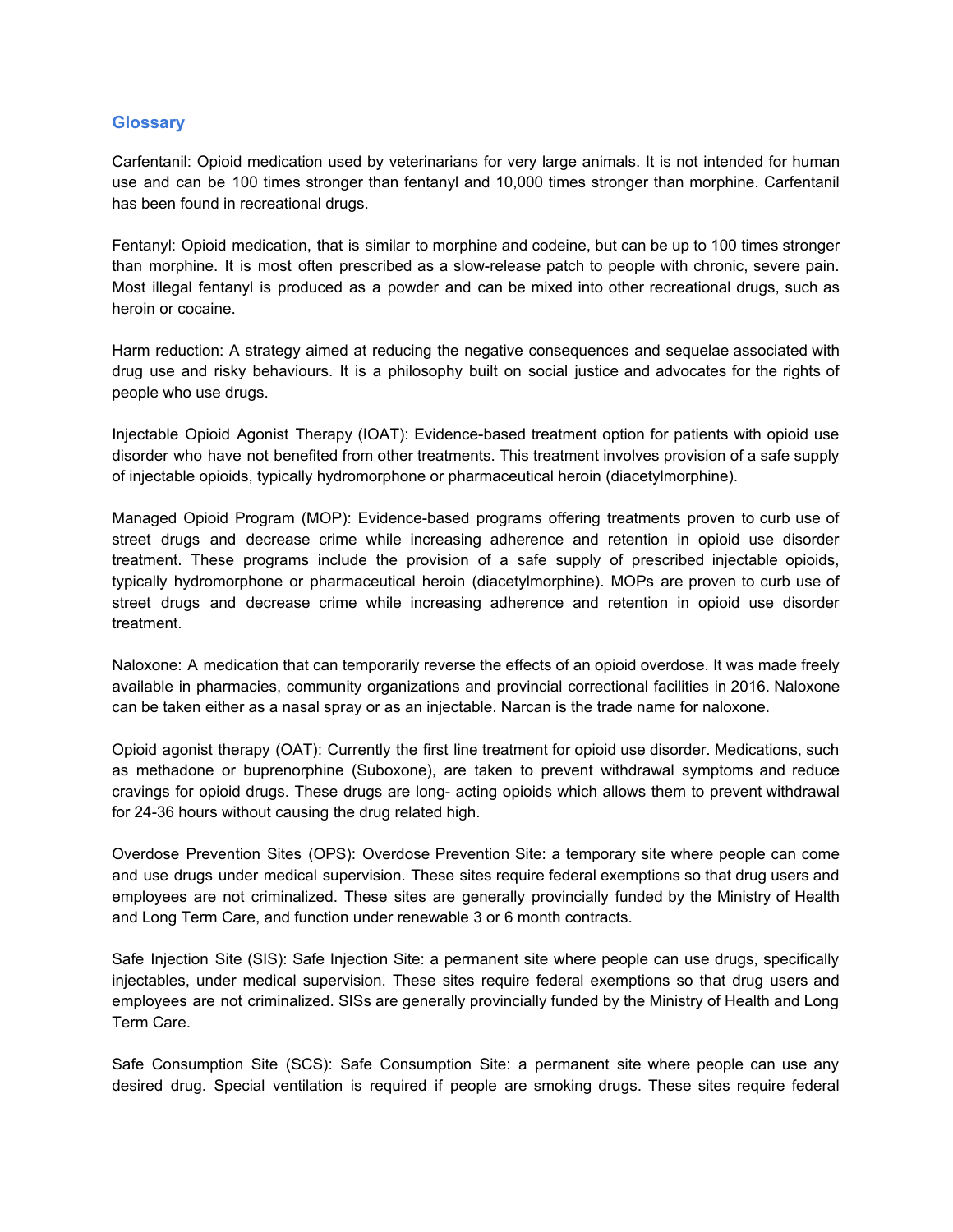#### **Glossary**

Carfentanil: Opioid medication used by veterinarians for very large animals. It is not intended for human use and can be 100 times stronger than fentanyl and 10,000 times stronger than morphine. Carfentanil has been found in recreational drugs.

Fentanyl: Opioid medication, that is similar to morphine and codeine, but can be up to 100 times stronger than morphine. It is most often prescribed as a slow-release patch to people with chronic, severe pain. Most illegal fentanyl is produced as a powder and can be mixed into other recreational drugs, such as heroin or cocaine.

Harm reduction: A strategy aimed at reducing the negative consequences and sequelae associated with drug use and risky behaviours. It is a philosophy built on social justice and advocates for the rights of people who use drugs.

Injectable Opioid Agonist Therapy (IOAT): Evidence-based treatment option for patients with opioid use disorder who have not benefited from other treatments. This treatment involves provision of a safe supply of injectable opioids, typically hydromorphone or pharmaceutical heroin (diacetylmorphine).

Managed Opioid Program (MOP): Evidence-based programs offering treatments proven to curb use of street drugs and decrease crime while increasing adherence and retention in opioid use disorder treatment. These programs include the provision of a safe supply of prescribed injectable opioids, typically hydromorphone or pharmaceutical heroin (diacetylmorphine). MOPs are proven to curb use of street drugs and decrease crime while increasing adherence and retention in opioid use disorder treatment.

Naloxone: A medication that can temporarily reverse the effects of an opioid overdose. It was made freely available in pharmacies, community organizations and provincial correctional facilities in 2016. Naloxone can be taken either as a nasal spray or as an injectable. Narcan is the trade name for naloxone.

Opioid agonist therapy (OAT): Currently the first line treatment for opioid use disorder. Medications, such as methadone or buprenorphine (Suboxone), are taken to prevent withdrawal symptoms and reduce cravings for opioid drugs. These drugs are long- acting opioids which allows them to prevent withdrawal for 24-36 hours without causing the drug related high.

Overdose Prevention Sites (OPS): Overdose Prevention Site: a temporary site where people can come and use drugs under medical supervision. These sites require federal exemptions so that drug users and employees are not criminalized. These sites are generally provincially funded by the Ministry of Health and Long Term Care, and function under renewable 3 or 6 month contracts.

Safe Injection Site (SIS): Safe Injection Site: a permanent site where people can use drugs, specifically injectables, under medical supervision. These sites require federal exemptions so that drug users and employees are not criminalized. SISs are generally provincially funded by the Ministry of Health and Long Term Care.

Safe Consumption Site (SCS): Safe Consumption Site: a permanent site where people can use any desired drug. Special ventilation is required if people are smoking drugs. These sites require federal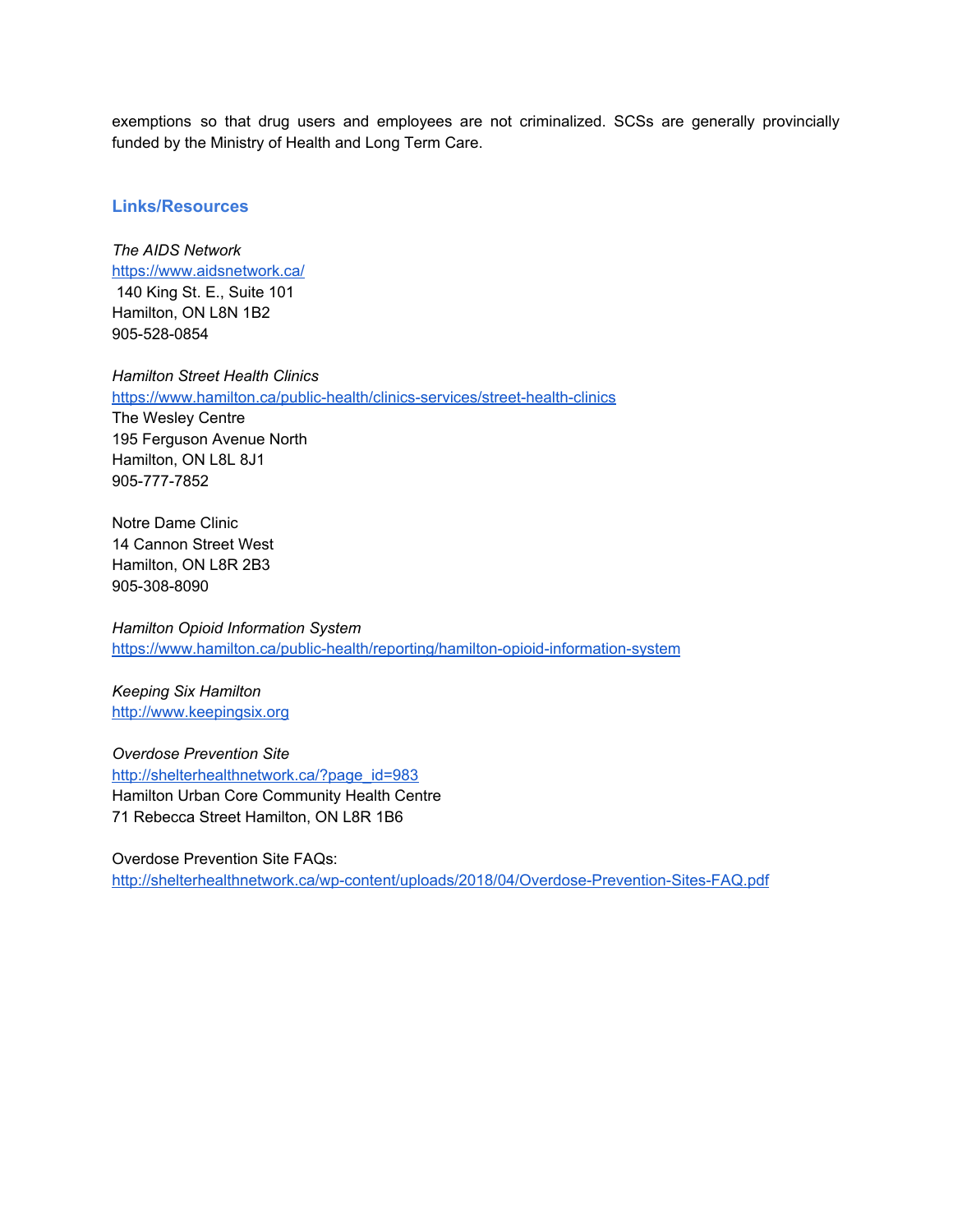exemptions so that drug users and employees are not criminalized. SCSs are generally provincially funded by the Ministry of Health and Long Term Care.

#### **Links/Resources**

*The AIDS Network* <https://www.aidsnetwork.ca/> 140 King St. E., Suite 101 Hamilton, ON L8N 1B2 905-528-0854

*Hamilton Street Health Clinics* <https://www.hamilton.ca/public-health/clinics-services/street-health-clinics> The Wesley Centre 195 Ferguson Avenue North Hamilton, ON L8L 8J1 905-777-7852

Notre Dame Clinic 14 Cannon Street West Hamilton, ON L8R 2B3 905-308-8090

*Hamilton Opioid Information System* <https://www.hamilton.ca/public-health/reporting/hamilton-opioid-information-system>

*Keeping Six Hamilton* [http://www.keepingsix.org](http://www.keepingsix.org/)

*Overdose Prevention Site* [http://shelterhealthnetwork.ca/?page\\_id=983](http://shelterhealthnetwork.ca/?page_id=983) Hamilton Urban Core Community Health Centre 71 Rebecca Street Hamilton, ON L8R 1B6

Overdose Prevention Site FAQs:

<http://shelterhealthnetwork.ca/wp-content/uploads/2018/04/Overdose-Prevention-Sites-FAQ.pdf>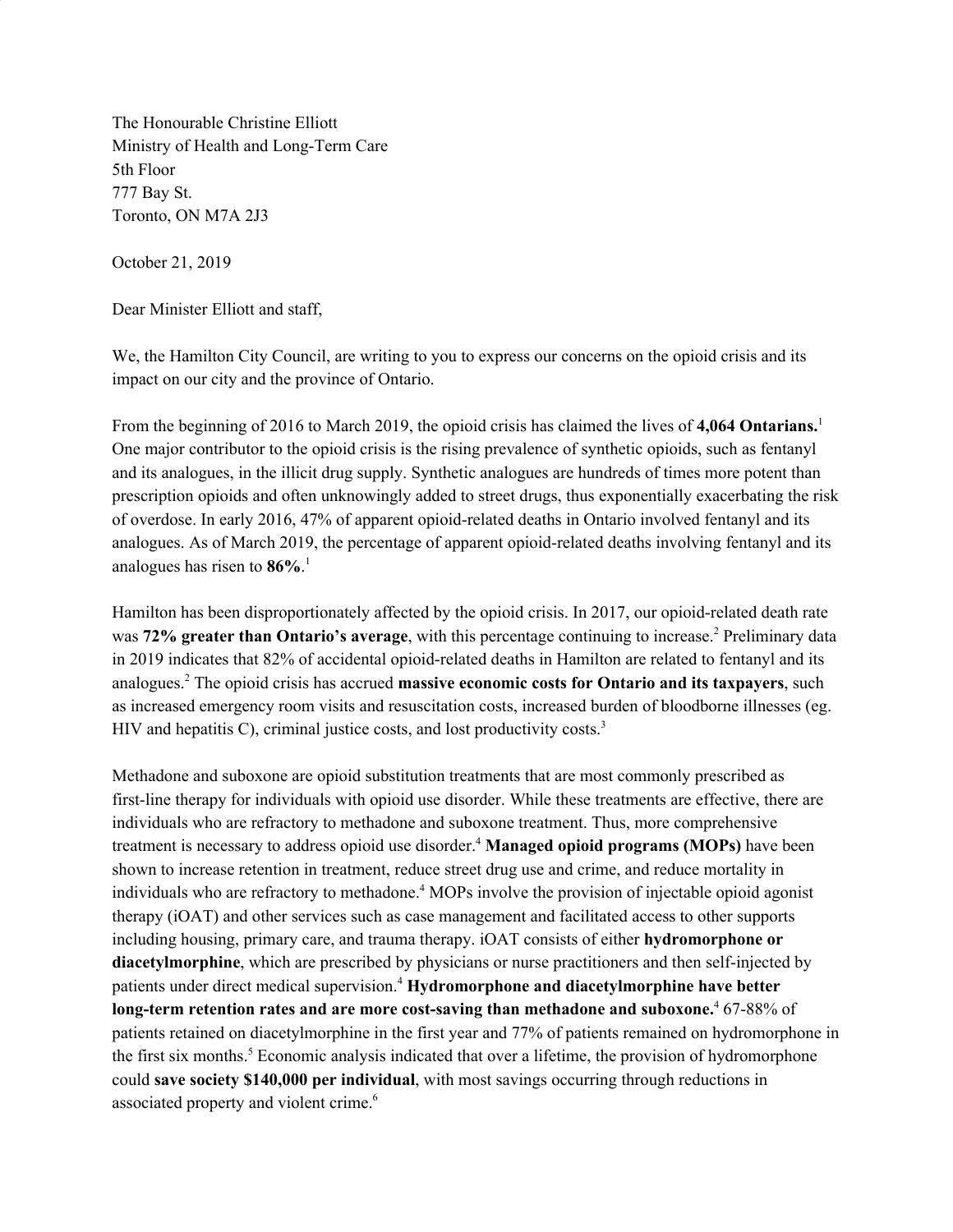The Honourable Christine Elliott Ministry of Health and Long-Term Care 5th Floor 777 Bay St. Toronto, ON M7A 2J3

October 21, 2019

Dear Minister Elliott and staff,

We, the Hamilton City Council, are writing to you to express our concerns on the opioid crisis and its impact on our city and the province of Ontario.

From the beginning of 2016 to March 2019, the opioid crisis has claimed the lives of **4,064 Ontarians.** 1 One major contributor to the opioid crisis is the rising prevalence of synthetic opioids, such as fentanyl and its analogues, in the illicit drug supply. Synthetic analogues are hundreds of times more potent than prescription opioids and often unknowingly added to street drugs, thus exponentially exacerbating the risk of overdose. In early 2016, 47% of apparent opioid-related deaths in Ontario involved fentanyl and its analogues. As of March 2019, the percentage of apparent opioid-related deaths involving fentanyl and its analogues has risen to **86%**. 1

Hamilton has been disproportionately affected by the opioid crisis. In 2017, our opioid-related death rate was **72% greater than Ontario's average**, with this percentage continuing to increase. <sup>2</sup> Preliminary data in 2019 indicates that 82% of accidental opioid-related deaths in Hamilton are related to fentanyl and its analogues. <sup>2</sup> The opioid crisis has accrued **massive economic costs for Ontario and its taxpayers**, such as increased emergency room visits and resuscitation costs, increased burden of bloodborne illnesses (eg. HIV and hepatitis C), criminal justice costs, and lost productivity costs.<sup>3</sup>

Methadone and suboxone are opioid substitution treatments that are most commonly prescribed as first-line therapy for individuals with opioid use disorder. While these treatments are effective, there are individuals who are refractory to methadone and suboxone treatment. Thus, more comprehensive treatment is necessary to address opioid use disorder. <sup>4</sup> **Managed opioid programs (MOPs)** have been shown to increase retention in treatment, reduce street drug use and crime, and reduce mortality in individuals who are refractory to methadone. <sup>4</sup> MOPs involve the provision of injectable opioid agonist therapy (iOAT) and other services such as case management and facilitated access to other supports including housing, primary care, and trauma therapy. iOAT consists of either **hydromorphone or diacetylmorphine**, which are prescribed by physicians or nurse practitioners and then self-injected by patients under direct medical supervision. <sup>4</sup> **Hydromorphone and diacetylmorphine have better long-term retention rates and are more cost-saving than methadone and suboxone.** <sup>4</sup> 67-88% of patients retained on diacetylmorphine in the first year and 77% of patients remained on hydromorphone in the first six months. <sup>5</sup> Economic analysis indicated that over a lifetime, the provision of hydromorphone could **save society \$140,000 per individual**, with most savings occurring through reductions in associated property and violent crime. 6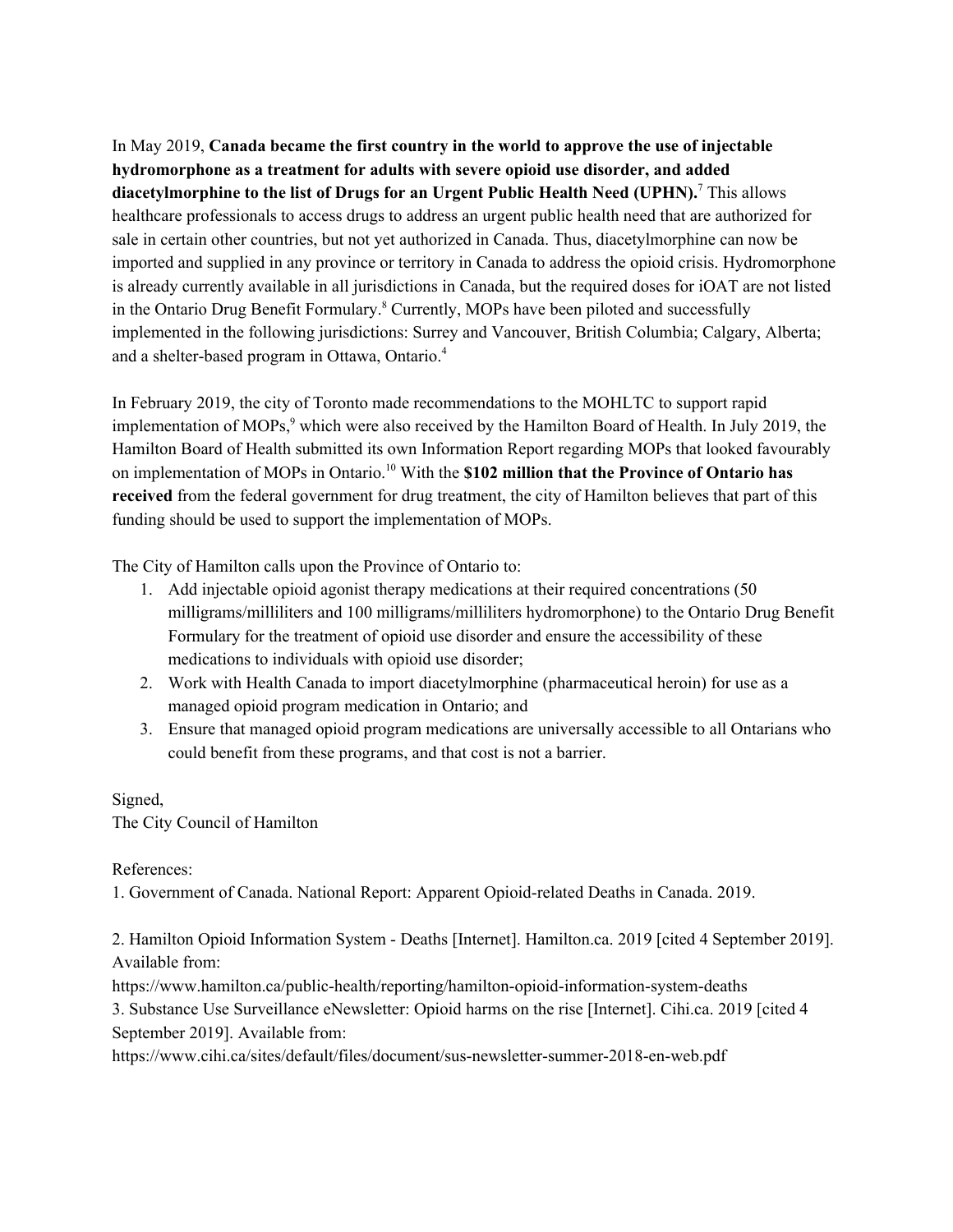In May 2019, **Canada became the first country in the world to approve the use of injectable hydromorphone as a treatment for adults with severe opioid use disorder, and added diacetylmorphine to the list of Drugs for an Urgent Public Health Need (UPHN).** <sup>7</sup> This allows healthcare professionals to access drugs to address an urgent public health need that are authorized for sale in certain other countries, but not yet authorized in Canada. Thus, diacetylmorphine can now be imported and supplied in any province or territory in Canada to address the opioid crisis. Hydromorphone is already currently available in all jurisdictions in Canada, but the required doses for iOAT are not listed in the Ontario Drug Benefit Formulary. <sup>8</sup> Currently, MOPs have been piloted and successfully implemented in the following jurisdictions: Surrey and Vancouver, British Columbia; Calgary, Alberta; and a shelter-based program in Ottawa, Ontario. 4

In February 2019, the city of Toronto made recommendations to the MOHLTC to support rapid implementation of MOPs, <sup>9</sup> which were also received by the Hamilton Board of Health. In July 2019, the Hamilton Board of Health submitted its own Information Report regarding MOPs that looked favourably on implementation of MOPs in Ontario. <sup>10</sup> With the **\$102 million that the Province of Ontario has received** from the federal government for drug treatment, the city of Hamilton believes that part of this funding should be used to support the implementation of MOPs.

The City of Hamilton calls upon the Province of Ontario to:

- 1. Add injectable opioid agonist therapy medications at their required concentrations (50 milligrams/milliliters and 100 milligrams/milliliters hydromorphone) to the Ontario Drug Benefit Formulary for the treatment of opioid use disorder and ensure the accessibility of these medications to individuals with opioid use disorder;
- 2. Work with Health Canada to import diacetylmorphine (pharmaceutical heroin) for use as a managed opioid program medication in Ontario; and
- 3. Ensure that managed opioid program medications are universally accessible to all Ontarians who could benefit from these programs, and that cost is not a barrier.

Signed, The City Council of Hamilton

References:

1. Government of Canada. National Report: Apparent Opioid-related Deaths in Canada. 2019.

2. Hamilton Opioid Information System - Deaths [Internet]. Hamilton.ca. 2019 [cited 4 September 2019]. Available from:

https://www.hamilton.ca/public-health/reporting/hamilton-opioid-information-system-deaths

3. Substance Use Surveillance eNewsletter: Opioid harms on the rise [Internet]. Cihi.ca. 2019 [cited 4 September 2019]. Available from:

https://www.cihi.ca/sites/default/files/document/sus-newsletter-summer-2018-en-web.pdf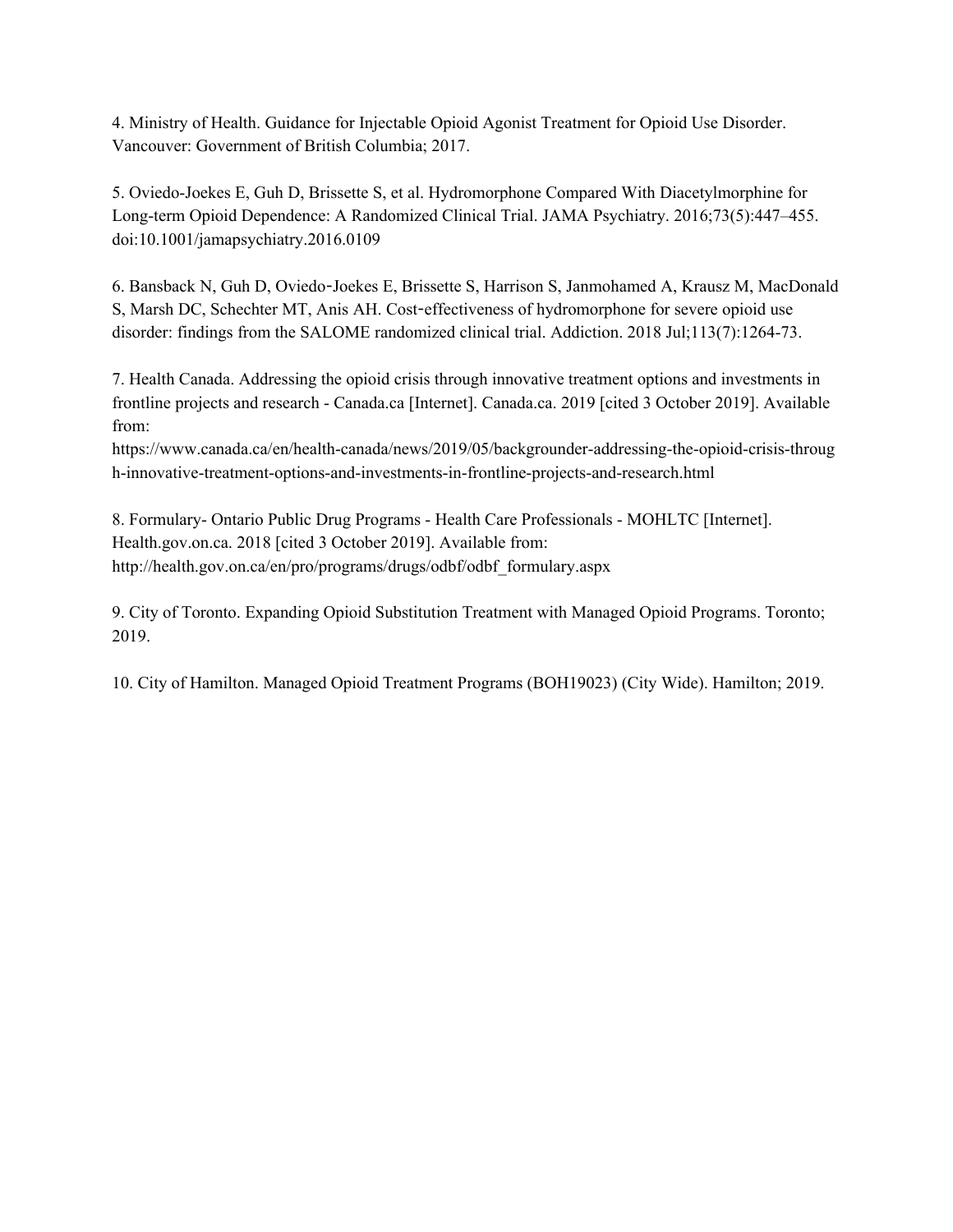4. Ministry of Health. Guidance for Injectable Opioid Agonist Treatment for Opioid Use Disorder. Vancouver: Government of British Columbia; 2017.

5. Oviedo-Joekes E, Guh D, Brissette S, et al. Hydromorphone Compared With Diacetylmorphine for Long-term Opioid Dependence: A Randomized Clinical Trial. JAMA Psychiatry. 2016;73(5):447–455. doi:10.1001/jamapsychiatry.2016.0109

6. Bansback N, Guh D, Oviedo-Joekes E, Brissette S, Harrison S, Janmohamed A, Krausz M, MacDonald S, Marsh DC, Schechter MT, Anis AH. Cost-effectiveness of hydromorphone for severe opioid use disorder: findings from the SALOME randomized clinical trial. Addiction. 2018 Jul;113(7):1264-73.

7. Health Canada. Addressing the opioid crisis through innovative treatment options and investments in frontline projects and research - Canada.ca [Internet]. Canada.ca. 2019 [cited 3 October 2019]. Available from:

https://www.canada.ca/en/health-canada/news/2019/05/backgrounder-addressing-the-opioid-crisis-throug h-innovative-treatment-options-and-investments-in-frontline-projects-and-research.html

8. Formulary- Ontario Public Drug Programs - Health Care Professionals - MOHLTC [Internet]. Health.gov.on.ca. 2018 [cited 3 October 2019]. Available from: http://health.gov.on.ca/en/pro/programs/drugs/odbf/odbf\_formulary.aspx

9. City of Toronto. Expanding Opioid Substitution Treatment with Managed Opioid Programs. Toronto; 2019.

10. City of Hamilton. Managed Opioid Treatment Programs (BOH19023) (City Wide). Hamilton; 2019.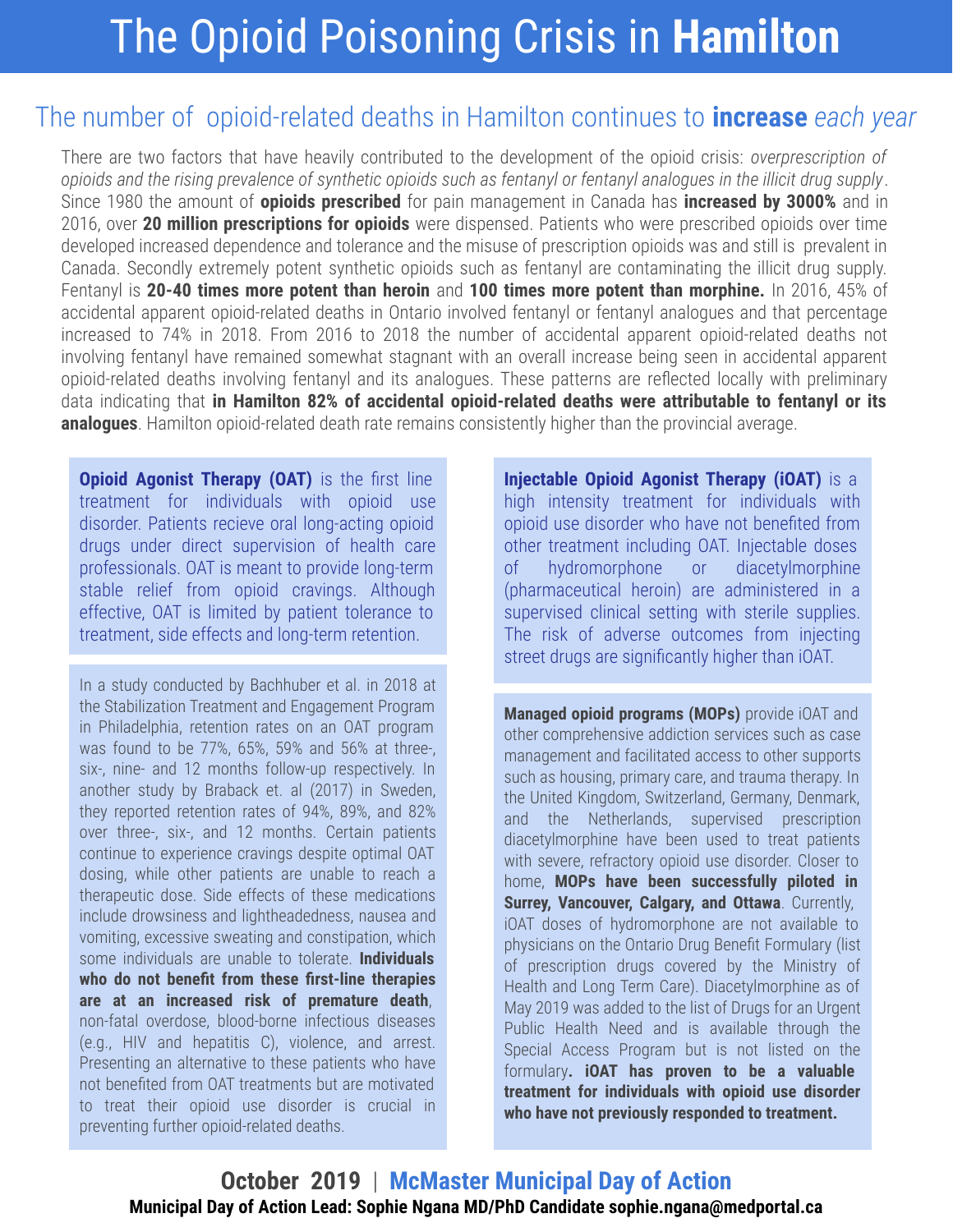## The Opioid Poisoning Crisis in **Hamilton**

### The number of opioid-related deaths in Hamilton continues to **increase** *each year*

There are two factors that have heavily contributed to the development of the opioid crisis: *overprescription of opioids and the rising prevalence of synthetic opioids such as fentanyl or fentanyl analogues in the illicit drug supply*. Since 1980 the amount of **opioids prescribed** for pain management in Canada has **increased by 3000%** and in 2016, over **20 million prescriptions for opioids** were dispensed. Patients who were prescribed opioids over time developed increased dependence and tolerance and the misuse of prescription opioids was and still is prevalent in Canada. Secondly extremely potent synthetic opioids such as fentanyl are contaminating the illicit drug supply. Fentanyl is **20-40 times more potent than heroin** and **100 times more potent than morphine.** In 2016, 45% of accidental apparent opioid-related deaths in Ontario involved fentanyl or fentanyl analogues and that percentage increased to 74% in 2018. From 2016 to 2018 the number of accidental apparent opioid-related deaths not involving fentanyl have remained somewhat stagnant with an overall increase being seen in accidental apparent opioid-related deaths involving fentanyl and its analogues. These patterns are reflected locally with preliminary data indicating that **in Hamilton 82% of accidental opioid-related deaths were attributable to fentanyl or its analogues**. Hamilton opioid-related death rate remains consistently higher than the provincial average.

**Opioid Agonist Therapy (OAT)** is the first line treatment for individuals with opioid use disorder. Patients recieve oral long-acting opioid drugs under direct supervision of health care professionals. OAT is meant to provide long-term stable relief from opioid cravings. Although effective, OAT is limited by patient tolerance to treatment, side effects and long-term retention.

In a study conducted by Bachhuber et al. in 2018 at the Stabilization Treatment and Engagement Program in Philadelphia, retention rates on an OAT program was found to be 77%, 65%, 59% and 56% at three-, six-, nine- and 12 months follow-up respectively. In another study by Braback et. al (2017) in Sweden, they reported retention rates of 94%, 89%, and 82% over three-, six-, and 12 months. Certain patients continue to experience cravings despite optimal OAT dosing, while other patients are unable to reach a therapeutic dose. Side effects of these medications include drowsiness and lightheadedness, nausea and vomiting, excessive sweating and constipation, which some individuals are unable to tolerate. **Individuals who do not benefit from these first-line therapies are at an increased risk of premature death**, non-fatal overdose, blood-borne infectious diseases (e.g., HIV and hepatitis C), violence, and arrest. Presenting an alternative to these patients who have not benefited from OAT treatments but are motivated to treat their opioid use disorder is crucial in preventing further opioid-related deaths.

**Injectable Opioid Agonist Therapy (iOAT)** is a high intensity treatment for individuals with opioid use disorder who have not benefited from other treatment including OAT. Injectable doses of hydromorphone or diacetylmorphine (pharmaceutical heroin) are administered in a supervised clinical setting with sterile supplies. The risk of adverse outcomes from injecting street drugs are significantly higher than iOAT.

**Managed opioid programs (MOPs)** provide iOAT and other comprehensive addiction services such as case management and facilitated access to other supports such as housing, primary care, and trauma therapy. In the United Kingdom, Switzerland, Germany, Denmark, and the Netherlands, supervised prescription diacetylmorphine have been used to treat patients with severe, refractory opioid use disorder. Closer to home, **MOPs have been successfully piloted in Surrey, Vancouver, Calgary, and Ottawa**. Currently, iOAT doses of hydromorphone are not available to physicians on the Ontario Drug Benefit Formulary (list of prescription drugs covered by the Ministry of Health and Long Term Care). Diacetylmorphine as of May 2019 was added to the list of Drugs for an Urgent Public Health Need and is available through the Special Access Program but is not listed on the formulary**. iOAT has proven to be a valuable treatment for individuals with opioid use disorder who have not previously responded to treatment.**